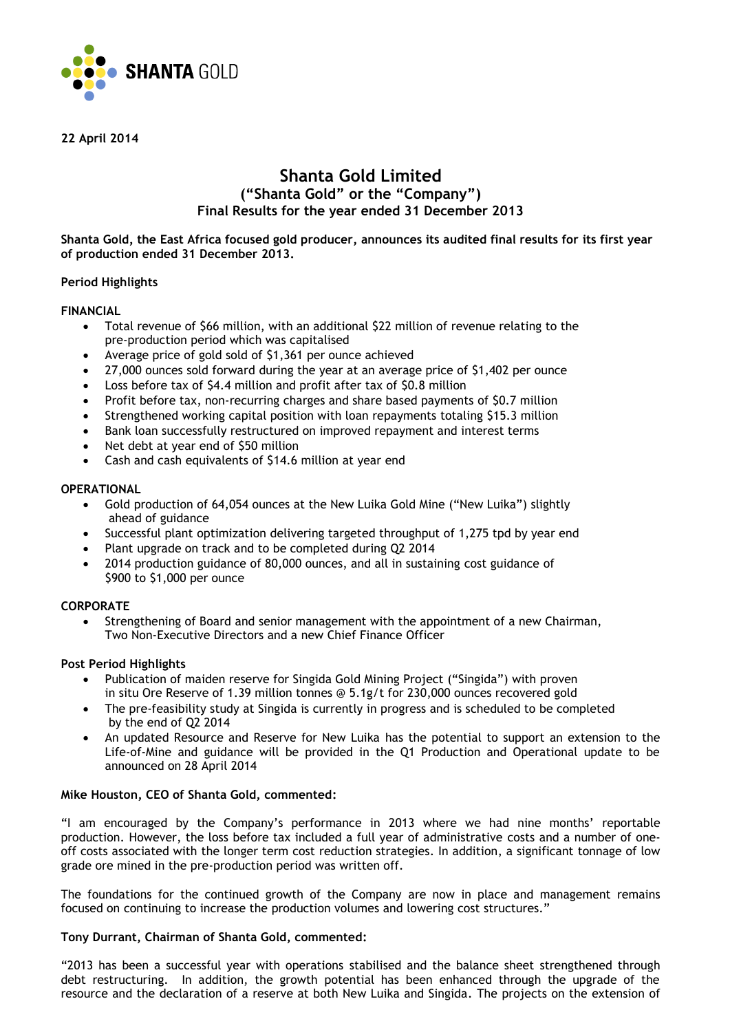

**22 April 2014**

## **Shanta Gold Limited ("Shanta Gold" or the "Company") Final Results for the year ended 31 December 2013**

**Shanta Gold, the East Africa focused gold producer, announces its audited final results for its first year of production ended 31 December 2013.**

## **Period Highlights**

## **FINANCIAL**

- Total revenue of \$66 million, with an additional \$22 million of revenue relating to the pre-production period which was capitalised
- Average price of gold sold of \$1,361 per ounce achieved
- 27,000 ounces sold forward during the year at an average price of \$1,402 per ounce
- Loss before tax of \$4.4 million and profit after tax of \$0.8 million
- Profit before tax, non-recurring charges and share based payments of \$0.7 million
- Strengthened working capital position with loan repayments totaling \$15.3 million
- Bank loan successfully restructured on improved repayment and interest terms
- Net debt at year end of \$50 million
- Cash and cash equivalents of \$14.6 million at year end

## **OPERATIONAL**

- Gold production of 64,054 ounces at the New Luika Gold Mine ("New Luika") slightly ahead of guidance
- Successful plant optimization delivering targeted throughput of 1,275 tpd by year end
- Plant upgrade on track and to be completed during Q2 2014
- 2014 production guidance of 80,000 ounces, and all in sustaining cost guidance of \$900 to \$1,000 per ounce

## **CORPORATE**

• Strengthening of Board and senior management with the appointment of a new Chairman, Two Non-Executive Directors and a new Chief Finance Officer

## **Post Period Highlights**

- Publication of maiden reserve for Singida Gold Mining Project ("Singida") with proven in situ Ore Reserve of 1.39 million tonnes @ 5.1g/t for 230,000 ounces recovered gold
- The pre-feasibility study at Singida is currently in progress and is scheduled to be completed by the end of Q2 2014
- An updated Resource and Reserve for New Luika has the potential to support an extension to the Life-of-Mine and guidance will be provided in the Q1 Production and Operational update to be announced on 28 April 2014

## **Mike Houston, CEO of Shanta Gold, commented:**

"I am encouraged by the Company's performance in 2013 where we had nine months' reportable production. However, the loss before tax included a full year of administrative costs and a number of oneoff costs associated with the longer term cost reduction strategies. In addition, a significant tonnage of low grade ore mined in the pre-production period was written off.

The foundations for the continued growth of the Company are now in place and management remains focused on continuing to increase the production volumes and lowering cost structures."

## **Tony Durrant, Chairman of Shanta Gold, commented:**

"2013 has been a successful year with operations stabilised and the balance sheet strengthened through debt restructuring. In addition, the growth potential has been enhanced through the upgrade of the resource and the declaration of a reserve at both New Luika and Singida. The projects on the extension of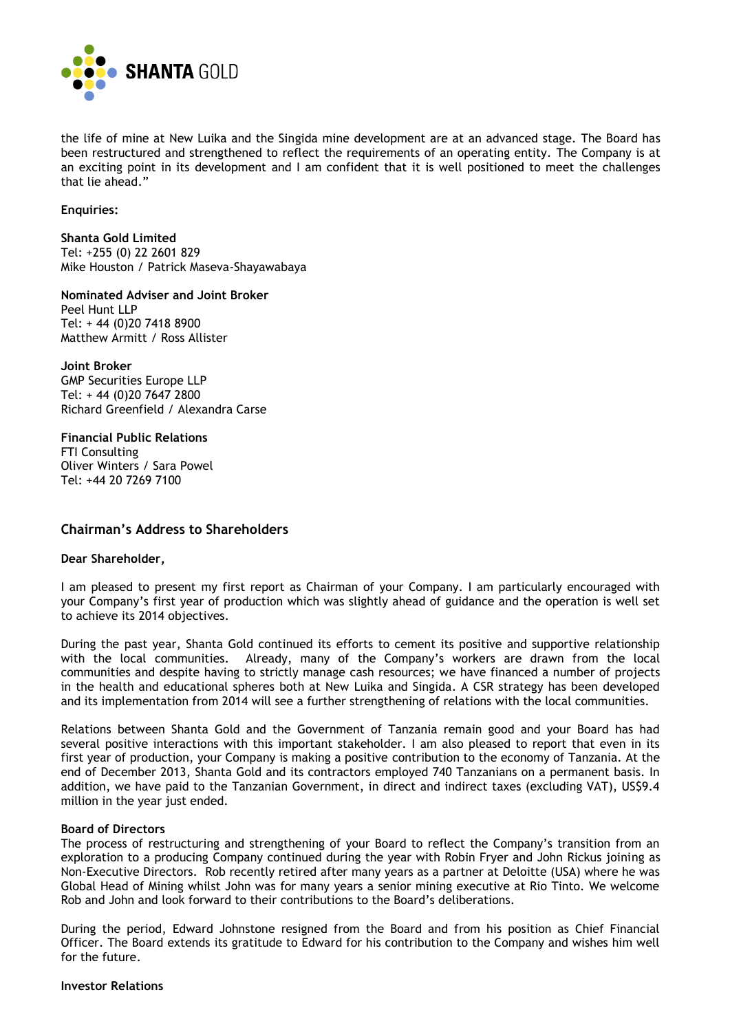

the life of mine at New Luika and the Singida mine development are at an advanced stage. The Board has been restructured and strengthened to reflect the requirements of an operating entity. The Company is at an exciting point in its development and I am confident that it is well positioned to meet the challenges that lie ahead."

## **Enquiries:**

**Shanta Gold Limited**  Tel: +255 (0) 22 2601 829 Mike Houston / Patrick Maseva-Shayawabaya

**Nominated Adviser and Joint Broker** Peel Hunt LLP Tel: + 44 (0)20 7418 8900 Matthew Armitt / Ross Allister

**Joint Broker** GMP Securities Europe LLP Tel: + 44 (0)20 7647 2800 Richard Greenfield / Alexandra Carse

**Financial Public Relations** FTI Consulting Oliver Winters / Sara Powel Tel: +44 20 7269 7100

## **Chairman's Address to Shareholders**

## **Dear Shareholder,**

I am pleased to present my first report as Chairman of your Company. I am particularly encouraged with your Company's first year of production which was slightly ahead of guidance and the operation is well set to achieve its 2014 objectives.

During the past year, Shanta Gold continued its efforts to cement its positive and supportive relationship with the local communities. Already, many of the Company's workers are drawn from the local communities and despite having to strictly manage cash resources; we have financed a number of projects in the health and educational spheres both at New Luika and Singida. A CSR strategy has been developed and its implementation from 2014 will see a further strengthening of relations with the local communities.

Relations between Shanta Gold and the Government of Tanzania remain good and your Board has had several positive interactions with this important stakeholder. I am also pleased to report that even in its first year of production, your Company is making a positive contribution to the economy of Tanzania. At the end of December 2013, Shanta Gold and its contractors employed 740 Tanzanians on a permanent basis. In addition, we have paid to the Tanzanian Government, in direct and indirect taxes (excluding VAT), US\$9.4 million in the year just ended.

### **Board of Directors**

The process of restructuring and strengthening of your Board to reflect the Company's transition from an exploration to a producing Company continued during the year with Robin Fryer and John Rickus joining as Non-Executive Directors. Rob recently retired after many years as a partner at Deloitte (USA) where he was Global Head of Mining whilst John was for many years a senior mining executive at Rio Tinto. We welcome Rob and John and look forward to their contributions to the Board's deliberations.

During the period, Edward Johnstone resigned from the Board and from his position as Chief Financial Officer. The Board extends its gratitude to Edward for his contribution to the Company and wishes him well for the future.

## **Investor Relations**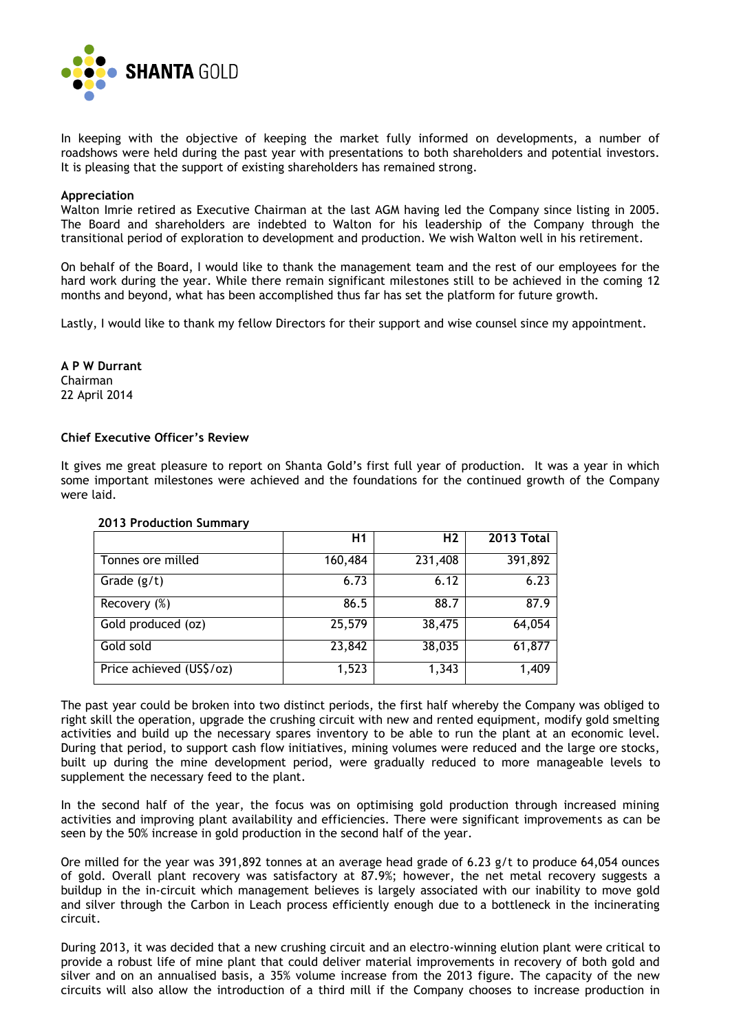

In keeping with the objective of keeping the market fully informed on developments, a number of roadshows were held during the past year with presentations to both shareholders and potential investors. It is pleasing that the support of existing shareholders has remained strong.

### **Appreciation**

Walton Imrie retired as Executive Chairman at the last AGM having led the Company since listing in 2005. The Board and shareholders are indebted to Walton for his leadership of the Company through the transitional period of exploration to development and production. We wish Walton well in his retirement.

On behalf of the Board, I would like to thank the management team and the rest of our employees for the hard work during the year. While there remain significant milestones still to be achieved in the coming 12 months and beyond, what has been accomplished thus far has set the platform for future growth.

Lastly, I would like to thank my fellow Directors for their support and wise counsel since my appointment.

**A P W Durrant** Chairman 22 April 2014

## **Chief Executive Officer's Review**

It gives me great pleasure to report on Shanta Gold's first full year of production. It was a year in which some important milestones were achieved and the foundations for the continued growth of the Company were laid.

|                          | Η1      | H <sub>2</sub> | 2013 Total |
|--------------------------|---------|----------------|------------|
| Tonnes ore milled        | 160,484 | 231,408        | 391,892    |
| Grade $(g/t)$            | 6.73    | 6.12           | 6.23       |
| Recovery (%)             | 86.5    | 88.7           | 87.9       |
| Gold produced (oz)       | 25,579  | 38,475         | 64,054     |
| Gold sold                | 23,842  | 38,035         | 61,877     |
| Price achieved (US\$/oz) | 1,523   | 1,343          | 1,409      |

#### **2013 Production Summary**

The past year could be broken into two distinct periods, the first half whereby the Company was obliged to right skill the operation, upgrade the crushing circuit with new and rented equipment, modify gold smelting activities and build up the necessary spares inventory to be able to run the plant at an economic level. During that period, to support cash flow initiatives, mining volumes were reduced and the large ore stocks, built up during the mine development period, were gradually reduced to more manageable levels to supplement the necessary feed to the plant.

In the second half of the year, the focus was on optimising gold production through increased mining activities and improving plant availability and efficiencies. There were significant improvements as can be seen by the 50% increase in gold production in the second half of the year.

Ore milled for the year was 391,892 tonnes at an average head grade of 6.23 g/t to produce 64,054 ounces of gold. Overall plant recovery was satisfactory at 87.9%; however, the net metal recovery suggests a buildup in the in-circuit which management believes is largely associated with our inability to move gold and silver through the Carbon in Leach process efficiently enough due to a bottleneck in the incinerating circuit.

During 2013, it was decided that a new crushing circuit and an electro-winning elution plant were critical to provide a robust life of mine plant that could deliver material improvements in recovery of both gold and silver and on an annualised basis, a 35% volume increase from the 2013 figure. The capacity of the new circuits will also allow the introduction of a third mill if the Company chooses to increase production in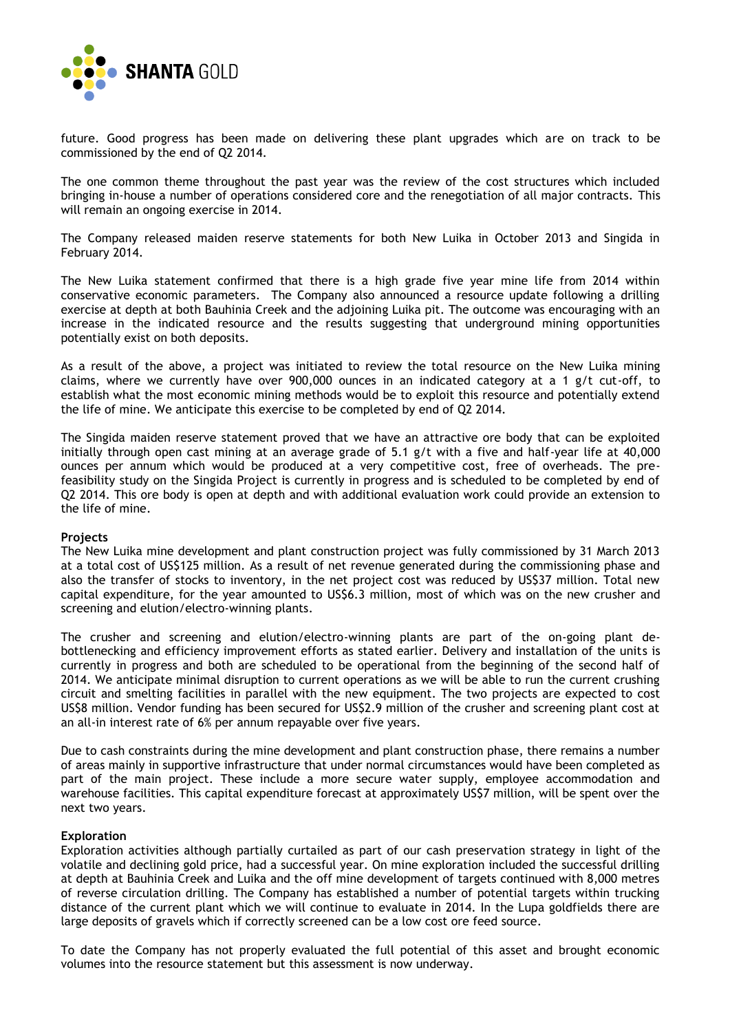

future. Good progress has been made on delivering these plant upgrades which are on track to be commissioned by the end of Q2 2014.

The one common theme throughout the past year was the review of the cost structures which included bringing in-house a number of operations considered core and the renegotiation of all major contracts. This will remain an ongoing exercise in 2014.

The Company released maiden reserve statements for both New Luika in October 2013 and Singida in February 2014.

The New Luika statement confirmed that there is a high grade five year mine life from 2014 within conservative economic parameters. The Company also announced a resource update following a drilling exercise at depth at both Bauhinia Creek and the adjoining Luika pit. The outcome was encouraging with an increase in the indicated resource and the results suggesting that underground mining opportunities potentially exist on both deposits.

As a result of the above, a project was initiated to review the total resource on the New Luika mining claims, where we currently have over 900,000 ounces in an indicated category at a 1 g/t cut-off, to establish what the most economic mining methods would be to exploit this resource and potentially extend the life of mine. We anticipate this exercise to be completed by end of Q2 2014.

The Singida maiden reserve statement proved that we have an attractive ore body that can be exploited initially through open cast mining at an average grade of 5.1 g/t with a five and half-year life at 40,000 ounces per annum which would be produced at a very competitive cost, free of overheads. The prefeasibility study on the Singida Project is currently in progress and is scheduled to be completed by end of Q2 2014. This ore body is open at depth and with additional evaluation work could provide an extension to the life of mine.

## **Projects**

The New Luika mine development and plant construction project was fully commissioned by 31 March 2013 at a total cost of US\$125 million. As a result of net revenue generated during the commissioning phase and also the transfer of stocks to inventory, in the net project cost was reduced by US\$37 million. Total new capital expenditure, for the year amounted to US\$6.3 million, most of which was on the new crusher and screening and elution/electro-winning plants.

The crusher and screening and elution/electro-winning plants are part of the on-going plant debottlenecking and efficiency improvement efforts as stated earlier. Delivery and installation of the units is currently in progress and both are scheduled to be operational from the beginning of the second half of 2014. We anticipate minimal disruption to current operations as we will be able to run the current crushing circuit and smelting facilities in parallel with the new equipment. The two projects are expected to cost US\$8 million. Vendor funding has been secured for US\$2.9 million of the crusher and screening plant cost at an all-in interest rate of 6% per annum repayable over five years.

Due to cash constraints during the mine development and plant construction phase, there remains a number of areas mainly in supportive infrastructure that under normal circumstances would have been completed as part of the main project. These include a more secure water supply, employee accommodation and warehouse facilities. This capital expenditure forecast at approximately US\$7 million, will be spent over the next two years.

#### **Exploration**

Exploration activities although partially curtailed as part of our cash preservation strategy in light of the volatile and declining gold price, had a successful year. On mine exploration included the successful drilling at depth at Bauhinia Creek and Luika and the off mine development of targets continued with 8,000 metres of reverse circulation drilling. The Company has established a number of potential targets within trucking distance of the current plant which we will continue to evaluate in 2014. In the Lupa goldfields there are large deposits of gravels which if correctly screened can be a low cost ore feed source.

To date the Company has not properly evaluated the full potential of this asset and brought economic volumes into the resource statement but this assessment is now underway.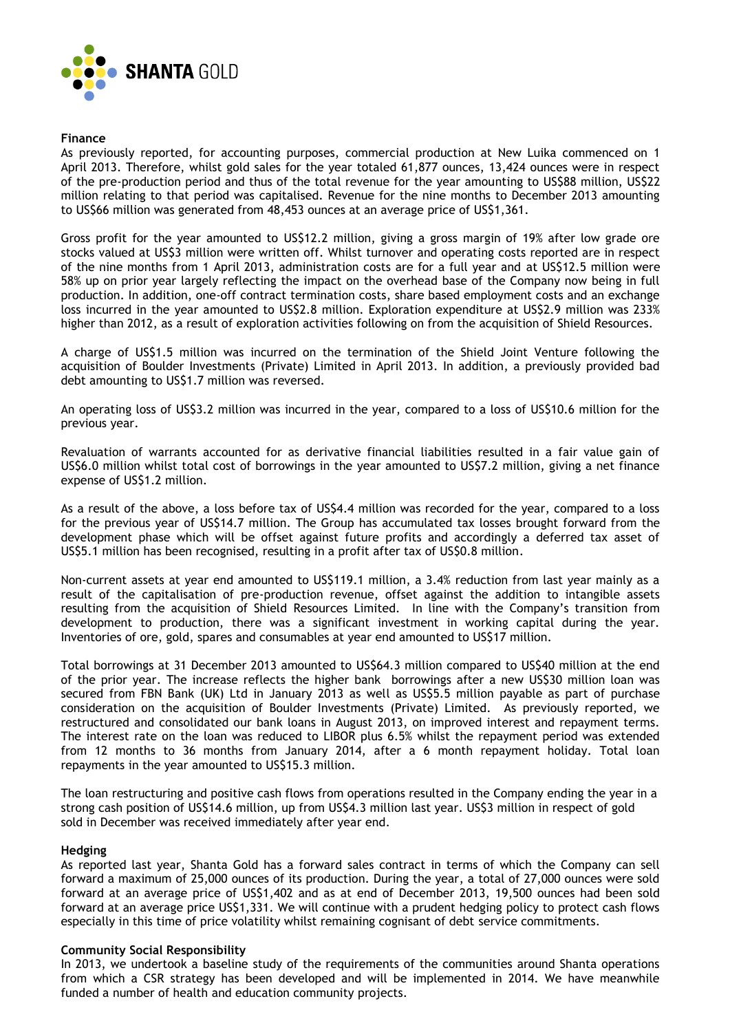

## **Finance**

As previously reported, for accounting purposes, commercial production at New Luika commenced on 1 April 2013. Therefore, whilst gold sales for the year totaled 61,877 ounces, 13,424 ounces were in respect of the pre-production period and thus of the total revenue for the year amounting to US\$88 million, US\$22 million relating to that period was capitalised. Revenue for the nine months to December 2013 amounting to US\$66 million was generated from 48,453 ounces at an average price of US\$1,361.

Gross profit for the year amounted to US\$12.2 million, giving a gross margin of 19% after low grade ore stocks valued at US\$3 million were written off. Whilst turnover and operating costs reported are in respect of the nine months from 1 April 2013, administration costs are for a full year and at US\$12.5 million were 58% up on prior year largely reflecting the impact on the overhead base of the Company now being in full production. In addition, one-off contract termination costs, share based employment costs and an exchange loss incurred in the year amounted to US\$2.8 million. Exploration expenditure at US\$2.9 million was 233% higher than 2012, as a result of exploration activities following on from the acquisition of Shield Resources.

A charge of US\$1.5 million was incurred on the termination of the Shield Joint Venture following the acquisition of Boulder Investments (Private) Limited in April 2013. In addition, a previously provided bad debt amounting to US\$1.7 million was reversed.

An operating loss of US\$3.2 million was incurred in the year, compared to a loss of US\$10.6 million for the previous year.

Revaluation of warrants accounted for as derivative financial liabilities resulted in a fair value gain of US\$6.0 million whilst total cost of borrowings in the year amounted to US\$7.2 million, giving a net finance expense of US\$1.2 million.

As a result of the above, a loss before tax of US\$4.4 million was recorded for the year, compared to a loss for the previous year of US\$14.7 million. The Group has accumulated tax losses brought forward from the development phase which will be offset against future profits and accordingly a deferred tax asset of US\$5.1 million has been recognised, resulting in a profit after tax of US\$0.8 million.

Non-current assets at year end amounted to US\$119.1 million, a 3.4% reduction from last year mainly as a result of the capitalisation of pre-production revenue, offset against the addition to intangible assets resulting from the acquisition of Shield Resources Limited. In line with the Company's transition from development to production, there was a significant investment in working capital during the year. Inventories of ore, gold, spares and consumables at year end amounted to US\$17 million.

Total borrowings at 31 December 2013 amounted to US\$64.3 million compared to US\$40 million at the end of the prior year. The increase reflects the higher bank borrowings after a new US\$30 million loan was secured from FBN Bank (UK) Ltd in January 2013 as well as US\$5.5 million payable as part of purchase consideration on the acquisition of Boulder Investments (Private) Limited. As previously reported, we restructured and consolidated our bank loans in August 2013, on improved interest and repayment terms. The interest rate on the loan was reduced to LIBOR plus 6.5% whilst the repayment period was extended from 12 months to 36 months from January 2014, after a 6 month repayment holiday. Total loan repayments in the year amounted to US\$15.3 million.

The loan restructuring and positive cash flows from operations resulted in the Company ending the year in a strong cash position of US\$14.6 million, up from US\$4.3 million last year. US\$3 million in respect of gold sold in December was received immediately after year end.

## **Hedging**

As reported last year, Shanta Gold has a forward sales contract in terms of which the Company can sell forward a maximum of 25,000 ounces of its production. During the year, a total of 27,000 ounces were sold forward at an average price of US\$1,402 and as at end of December 2013, 19,500 ounces had been sold forward at an average price US\$1,331. We will continue with a prudent hedging policy to protect cash flows especially in this time of price volatility whilst remaining cognisant of debt service commitments.

## **Community Social Responsibility**

In 2013, we undertook a baseline study of the requirements of the communities around Shanta operations from which a CSR strategy has been developed and will be implemented in 2014. We have meanwhile funded a number of health and education community projects.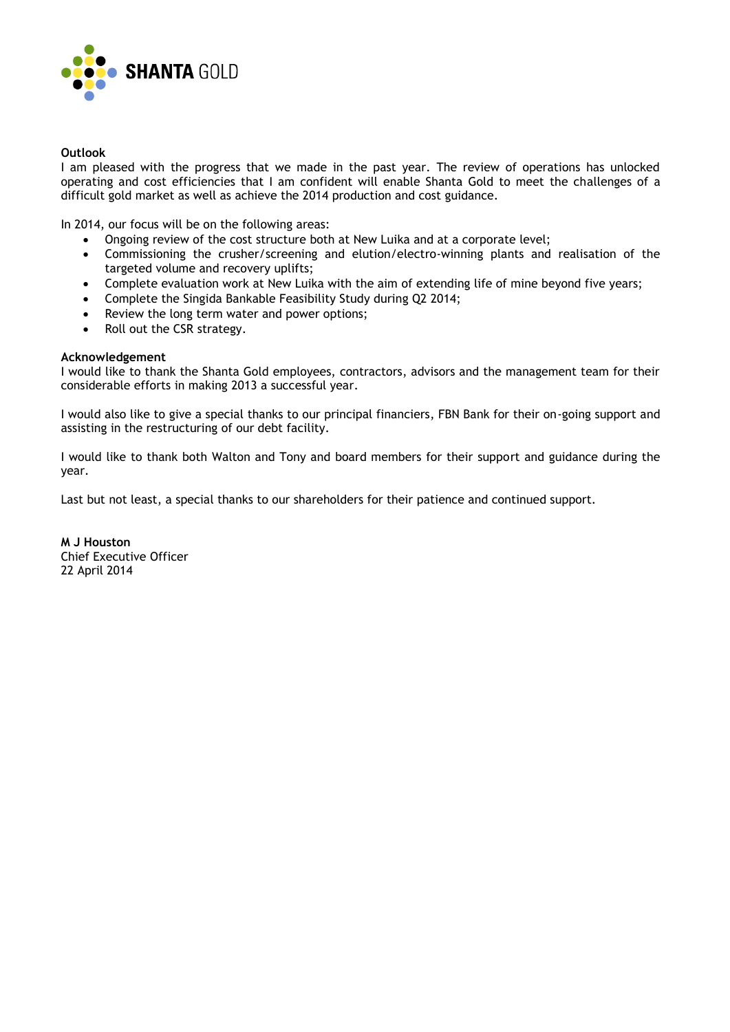

## **Outlook**

I am pleased with the progress that we made in the past year. The review of operations has unlocked operating and cost efficiencies that I am confident will enable Shanta Gold to meet the challenges of a difficult gold market as well as achieve the 2014 production and cost guidance.

In 2014, our focus will be on the following areas:

- Ongoing review of the cost structure both at New Luika and at a corporate level;
- Commissioning the crusher/screening and elution/electro-winning plants and realisation of the targeted volume and recovery uplifts;
- Complete evaluation work at New Luika with the aim of extending life of mine beyond five years;
- Complete the Singida Bankable Feasibility Study during Q2 2014;
- Review the long term water and power options;
- Roll out the CSR strategy.

## **Acknowledgement**

I would like to thank the Shanta Gold employees, contractors, advisors and the management team for their considerable efforts in making 2013 a successful year.

I would also like to give a special thanks to our principal financiers, FBN Bank for their on-going support and assisting in the restructuring of our debt facility.

I would like to thank both Walton and Tony and board members for their support and guidance during the year.

Last but not least, a special thanks to our shareholders for their patience and continued support.

**M J Houston** Chief Executive Officer 22 April 2014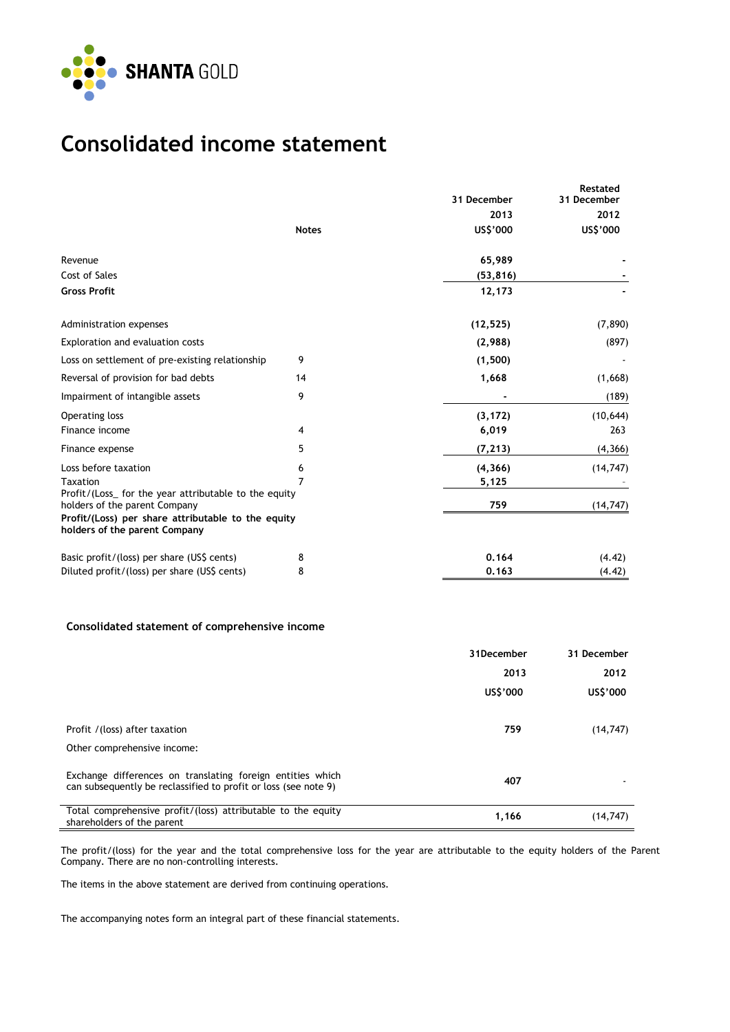

## **Consolidated income statement**

|                                                                                        |              | 31 December | Restated<br>31 December |
|----------------------------------------------------------------------------------------|--------------|-------------|-------------------------|
|                                                                                        |              | 2013        | 2012                    |
|                                                                                        | <b>Notes</b> | US\$'000    | US\$'000                |
| Revenue                                                                                |              | 65,989      |                         |
| Cost of Sales                                                                          |              | (53, 816)   |                         |
| <b>Gross Profit</b>                                                                    |              | 12,173      |                         |
| Administration expenses                                                                |              | (12, 525)   | (7, 890)                |
| Exploration and evaluation costs                                                       |              | (2,988)     | (897)                   |
| Loss on settlement of pre-existing relationship                                        | 9            | (1,500)     |                         |
| Reversal of provision for bad debts                                                    | 14           | 1,668       | (1,668)                 |
| Impairment of intangible assets                                                        | 9            |             | (189)                   |
| Operating loss                                                                         |              | (3, 172)    | (10, 644)               |
| Finance income                                                                         | 4            | 6,019       | 263                     |
| Finance expense                                                                        | 5            | (7, 213)    | (4, 366)                |
| Loss before taxation                                                                   | 6            | (4, 366)    | (14, 747)               |
| <b>Taxation</b>                                                                        |              | 5,125       |                         |
| Profit/(Loss_ for the year attributable to the equity<br>holders of the parent Company |              | 759         | (14, 747)               |
| Profit/(Loss) per share attributable to the equity<br>holders of the parent Company    |              |             |                         |
| Basic profit/(loss) per share (US\$ cents)                                             | 8            | 0.164       | (4.42)                  |
| Diluted profit/(loss) per share (US\$ cents)                                           | 8            | 0.163       | (4.42)                  |
|                                                                                        |              |             |                         |

## **Consolidated statement of comprehensive income**

|                                                                                                                               | 31December | 31 December |
|-------------------------------------------------------------------------------------------------------------------------------|------------|-------------|
|                                                                                                                               | 2013       | 2012        |
|                                                                                                                               | US\$'000   | US\$'000    |
| Profit / (loss) after taxation                                                                                                | 759        | (14, 747)   |
| Other comprehensive income:                                                                                                   |            |             |
| Exchange differences on translating foreign entities which<br>can subsequently be reclassified to profit or loss (see note 9) | 407        |             |
| Total comprehensive profit/(loss) attributable to the equity<br>shareholders of the parent                                    | 1,166      | (14, 747)   |

The profit/(loss) for the year and the total comprehensive loss for the year are attributable to the equity holders of the Parent Company. There are no non-controlling interests.

The items in the above statement are derived from continuing operations.

The accompanying notes form an integral part of these financial statements.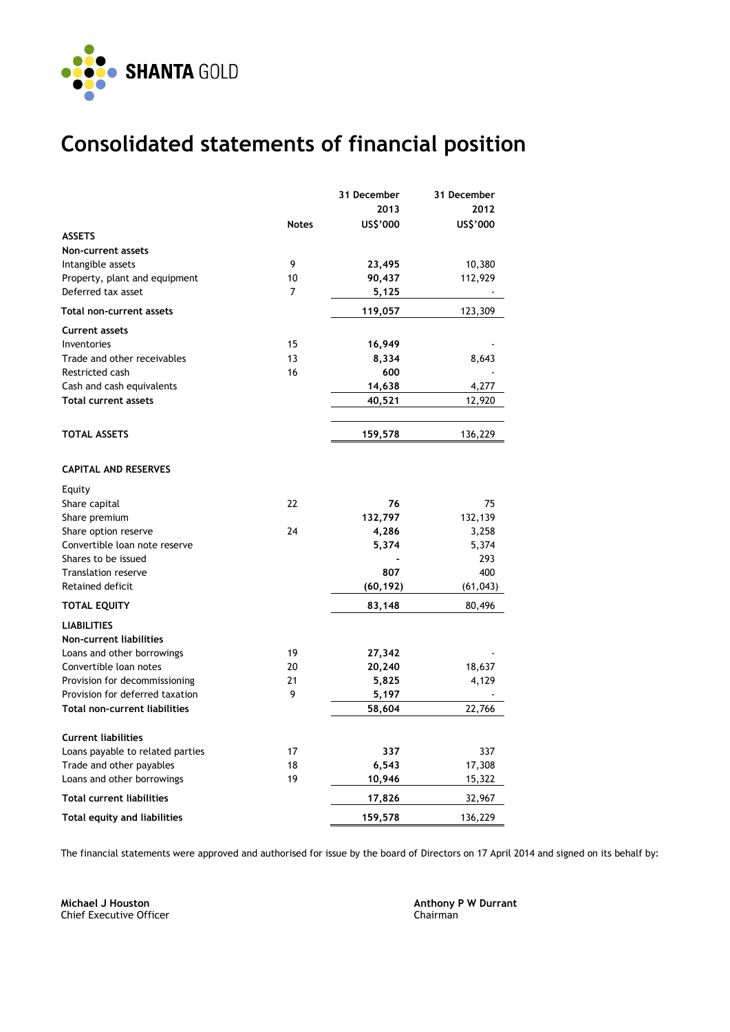

## **Consolidated statements of financial position**

|                                               |              | 31 December | 31 December |
|-----------------------------------------------|--------------|-------------|-------------|
|                                               |              | 2013        | 2012        |
|                                               | <b>Notes</b> | US\$'000    | US\$'000    |
| <b>ASSETS</b>                                 |              |             |             |
| Non-current assets                            |              |             |             |
| Intangible assets                             | 9            | 23,495      | 10,380      |
| Property, plant and equipment                 | 10           | 90,437      | 112,929     |
| Deferred tax asset                            | 7            | 5,125       |             |
| Total non-current assets                      |              | 119,057     | 123,309     |
| <b>Current assets</b>                         |              |             |             |
| Inventories                                   | 15           | 16,949      |             |
| Trade and other receivables                   | 13           | 8,334       | 8,643       |
| Restricted cash                               | 16           | 600         |             |
| Cash and cash equivalents                     |              | 14,638      | 4,277       |
| <b>Total current assets</b>                   |              | 40,521      | 12,920      |
|                                               |              |             |             |
| <b>TOTAL ASSETS</b>                           |              | 159,578     | 136,229     |
| <b>CAPITAL AND RESERVES</b>                   |              |             |             |
|                                               |              |             |             |
| Equity                                        | 22           | 76          | 75          |
| Share capital                                 |              | 132,797     | 132,139     |
| Share premium<br>Share option reserve         | 24           | 4,286       | 3,258       |
| Convertible loan note reserve                 |              | 5,374       | 5,374       |
| Shares to be issued                           |              |             | 293         |
| <b>Translation reserve</b>                    |              | 807         | 400         |
| Retained deficit                              |              | (60, 192)   | (61, 043)   |
| <b>TOTAL EQUITY</b>                           |              | 83,148      | 80,496      |
|                                               |              |             |             |
| <b>LIABILITIES</b><br>Non-current liabilities |              |             |             |
| Loans and other borrowings                    | 19           | 27,342      |             |
| Convertible loan notes                        | 20           | 20,240      | 18,637      |
| Provision for decommissioning                 | 21           | 5,825       | 4,129       |
| Provision for deferred taxation               | 9            | 5,197       |             |
| <b>Total non-current liabilities</b>          |              | 58,604      | 22,766      |
|                                               |              |             |             |
| <b>Current liabilities</b>                    |              |             |             |
| Loans payable to related parties              | 17           | 337         | 337         |
| Trade and other payables                      | 18           | 6,543       | 17,308      |
| Loans and other borrowings                    | 19           | 10,946      | 15,322      |
| <b>Total current liabilities</b>              |              | 17,826      | 32,967      |
| <b>Total equity and liabilities</b>           |              | 159,578     | 136,229     |

The financial statements were approved and authorised for issue by the board of Directors on 17 April 2014 and signed on its behalf by:

**Michael J Houston Anthony P W Durrant** Chief Executive Officer Chairman Chairman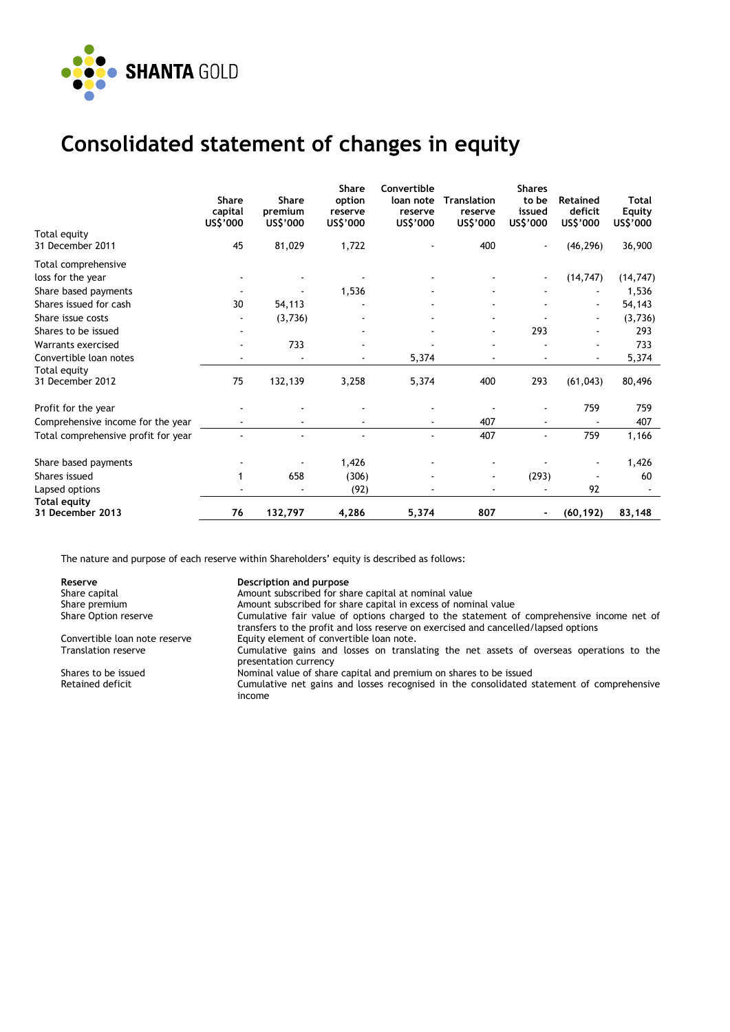

## **Consolidated statement of changes in equity**

|                                          | <b>Share</b><br>capital<br>US\$'000 | <b>Share</b><br>premium<br>US\$'000 | <b>Share</b><br>option<br>reserve<br>US\$'000 | Convertible<br>loan note<br>reserve<br>US\$'000 | Translation<br>reserve<br>US\$'000 | <b>Shares</b><br>to be<br>issued<br>US\$'000 | <b>Retained</b><br>deficit<br>US\$'000 | Total<br><b>Equity</b><br>US\$'000 |
|------------------------------------------|-------------------------------------|-------------------------------------|-----------------------------------------------|-------------------------------------------------|------------------------------------|----------------------------------------------|----------------------------------------|------------------------------------|
| Total equity<br>31 December 2011         | 45                                  | 81,029                              | 1,722                                         |                                                 | 400                                |                                              | (46, 296)                              | 36,900                             |
| Total comprehensive<br>loss for the year |                                     |                                     |                                               |                                                 |                                    |                                              | (14, 747)                              | (14, 747)                          |
| Share based payments                     |                                     |                                     | 1,536                                         |                                                 |                                    |                                              |                                        | 1,536                              |
| Shares issued for cash                   | 30                                  | 54,113                              |                                               |                                                 |                                    |                                              |                                        | 54,143                             |
| Share issue costs                        |                                     | (3,736)                             |                                               |                                                 |                                    |                                              |                                        | (3,736)                            |
| Shares to be issued                      |                                     |                                     |                                               |                                                 |                                    | 293                                          |                                        | 293                                |
| Warrants exercised                       |                                     | 733                                 |                                               |                                                 |                                    |                                              |                                        | 733                                |
| Convertible loan notes                   |                                     |                                     |                                               | 5,374                                           |                                    |                                              |                                        | 5,374                              |
| Total equity<br>31 December 2012         | 75                                  | 132,139                             | 3,258                                         | 5,374                                           | 400                                | 293                                          | (61, 043)                              | 80,496                             |
| Profit for the year                      |                                     |                                     |                                               |                                                 |                                    |                                              | 759                                    | 759                                |
| Comprehensive income for the year        |                                     |                                     |                                               |                                                 | 407                                |                                              | $\sim$                                 | 407                                |
| Total comprehensive profit for year      |                                     |                                     |                                               |                                                 | 407                                | $\blacksquare$                               | 759                                    | 1,166                              |
| Share based payments                     |                                     |                                     | 1,426                                         |                                                 |                                    |                                              | ۰                                      | 1,426                              |
| Shares issued                            |                                     | 658                                 | (306)                                         |                                                 |                                    | (293)                                        |                                        | 60                                 |
| Lapsed options                           |                                     |                                     | (92)                                          |                                                 |                                    |                                              | 92                                     |                                    |
| <b>Total equity</b><br>31 December 2013  | 76                                  | 132,797                             | 4,286                                         | 5,374                                           | 807                                | ۰                                            | (60, 192)                              | 83,148                             |

The nature and purpose of each reserve within Shareholders' equity is described as follows:

**Reserve Communist Reserve Share capital Communist Communist Persons Amount Subscribed for share Share Share Share Share Share Share Share Share Share Share Share Share Share Share Share Share Share Share Share Share Share** Amount subscribed for share capital at nominal value Share premium Share premium Amount subscribed for share capital in excess of nominal value<br>Share Option reserve Share Cumulative fair value of options charged to the statement of Cumulative fair value of options charged to the statement of comprehensive income net of transfers to the profit and loss reserve on exercised and cancelled/lapsed options

Convertible loan note reserve Equity element of convertible loan note.<br>Translation reserve Cumulative gains and losses on transl

Cumulative gains and losses on translating the net assets of overseas operations to the presentation currency

Shares to be issued **Nominal value of share capital and premium** on shares to be issued<br>Retained deficit **Retained** cumulative net gains and losses recognised in the consolidated s Cumulative net gains and losses recognised in the consolidated statement of comprehensive income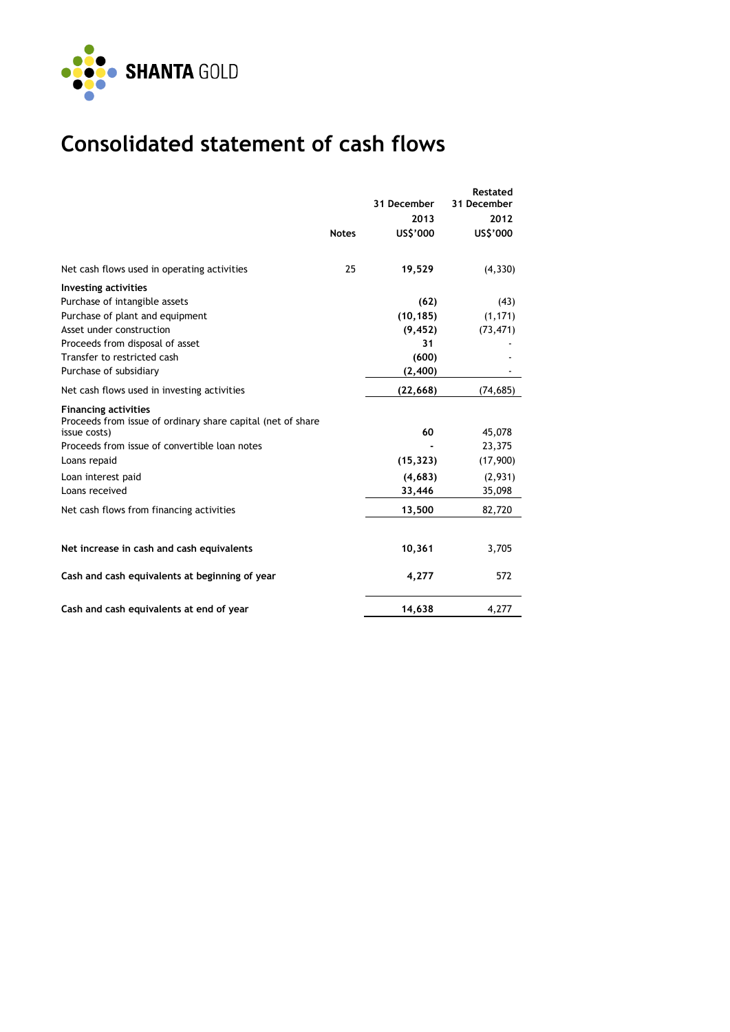

# **Consolidated statement of cash flows**

|                                                                                            |              | 31 December | Restated<br>31 December |
|--------------------------------------------------------------------------------------------|--------------|-------------|-------------------------|
|                                                                                            |              | 2013        | 2012                    |
|                                                                                            | <b>Notes</b> | US\$'000    | US\$'000                |
| Net cash flows used in operating activities                                                | 25           | 19,529      | (4, 330)                |
| <b>Investing activities</b>                                                                |              |             |                         |
| Purchase of intangible assets                                                              |              | (62)        | (43)                    |
| Purchase of plant and equipment                                                            |              | (10, 185)   | (1, 171)                |
| Asset under construction                                                                   |              | (9, 452)    | (73, 471)               |
| Proceeds from disposal of asset                                                            |              | 31          |                         |
| Transfer to restricted cash                                                                |              | (600)       |                         |
| Purchase of subsidiary                                                                     |              | (2,400)     |                         |
| Net cash flows used in investing activities                                                |              | (22, 668)   | (74, 685)               |
| <b>Financing activities</b><br>Proceeds from issue of ordinary share capital (net of share |              |             |                         |
| issue costs)                                                                               |              | 60          | 45,078                  |
| Proceeds from issue of convertible loan notes                                              |              |             | 23,375                  |
| Loans repaid                                                                               |              | (15, 323)   | (17,900)                |
| Loan interest paid                                                                         |              | (4, 683)    | (2,931)                 |
| Loans received                                                                             |              | 33,446      | 35,098                  |
| Net cash flows from financing activities                                                   |              | 13,500      | 82,720                  |
|                                                                                            |              |             |                         |
| Net increase in cash and cash equivalents                                                  |              | 10,361      | 3,705                   |
| Cash and cash equivalents at beginning of year                                             |              | 4,277       | 572                     |
| Cash and cash equivalents at end of year                                                   |              | 14,638      | 4,277                   |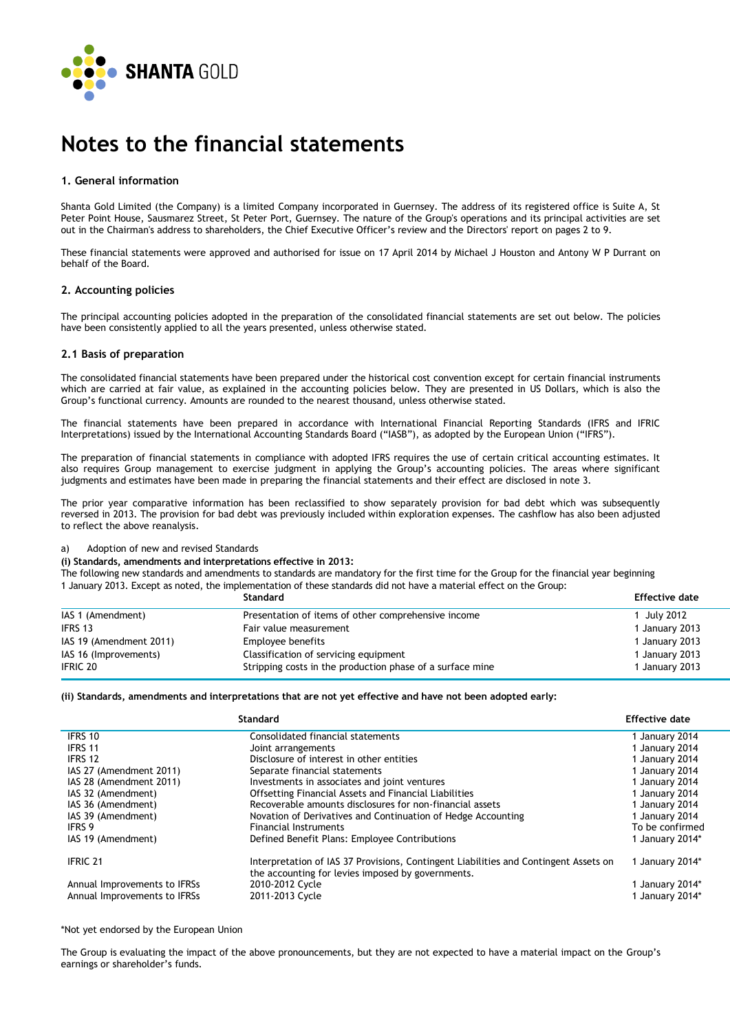

## **Notes to the financial statements**

#### **1. General information**

Shanta Gold Limited (the Company) is a limited Company incorporated in Guernsey. The address of its registered office is Suite A, St Peter Point House, Sausmarez Street, St Peter Port, Guernsey. The nature of the Group's operations and its principal activities are set out in the Chairman's address to shareholders, the Chief Executive Officer's review and the Directors' report on pages 2 to 9.

These financial statements were approved and authorised for issue on 17 April 2014 by Michael J Houston and Antony W P Durrant on behalf of the Board.

#### **2. Accounting policies**

The principal accounting policies adopted in the preparation of the consolidated financial statements are set out below. The policies have been consistently applied to all the years presented, unless otherwise stated.

#### **2.1 Basis of preparation**

The consolidated financial statements have been prepared under the historical cost convention except for certain financial instruments which are carried at fair value, as explained in the accounting policies below. They are presented in US Dollars, which is also the Group's functional currency. Amounts are rounded to the nearest thousand, unless otherwise stated.

The financial statements have been prepared in accordance with International Financial Reporting Standards (IFRS and IFRIC Interpretations) issued by the International Accounting Standards Board ("IASB"), as adopted by the European Union ("IFRS").

The preparation of financial statements in compliance with adopted IFRS requires the use of certain critical accounting estimates. It also requires Group management to exercise judgment in applying the Group's accounting policies. The areas where significant judgments and estimates have been made in preparing the financial statements and their effect are disclosed in note 3.

The prior year comparative information has been reclassified to show separately provision for bad debt which was subsequently reversed in 2013. The provision for bad debt was previously included within exploration expenses. The cashflow has also been adjusted to reflect the above reanalysis.

#### a) Adoption of new and revised Standards

#### **(i) Standards, amendments and interpretations effective in 2013:**

The following new standards and amendments to standards are mandatory for the first time for the Group for the financial year beginning

## 1 January 2013. Except as noted, the implementation of these standards did not have a material effect on the Group:

|                         | Standard                                                  | <b>Effective date</b> |
|-------------------------|-----------------------------------------------------------|-----------------------|
| IAS 1 (Amendment)       | Presentation of items of other comprehensive income       | 1 July 2012           |
| IFRS 13                 | Fair value measurement                                    | 1 January 2013        |
| IAS 19 (Amendment 2011) | Employee benefits                                         | 1 January 2013        |
| IAS 16 (Improvements)   | Classification of servicing equipment                     | 1 January 2013        |
| <b>IFRIC 20</b>         | Stripping costs in the production phase of a surface mine | 1 January 2013        |

#### **(ii) Standards, amendments and interpretations that are not yet effective and have not been adopted early:**

|                              | Standard                                                                                                                                  | <b>Effective date</b> |
|------------------------------|-------------------------------------------------------------------------------------------------------------------------------------------|-----------------------|
| IFRS 10                      | Consolidated financial statements                                                                                                         | 1 January 2014        |
| IFRS 11                      | Joint arrangements                                                                                                                        | 1 January 2014        |
| IFRS 12                      | Disclosure of interest in other entities                                                                                                  | 1 January 2014        |
| IAS 27 (Amendment 2011)      | Separate financial statements                                                                                                             | 1 January 2014        |
| IAS 28 (Amendment 2011)      | Investments in associates and joint ventures                                                                                              | 1 January 2014        |
| IAS 32 (Amendment)           | Offsetting Financial Assets and Financial Liabilities                                                                                     | 1 January 2014        |
| IAS 36 (Amendment)           | Recoverable amounts disclosures for non-financial assets                                                                                  | 1 January 2014        |
| IAS 39 (Amendment)           | Novation of Derivatives and Continuation of Hedge Accounting                                                                              | 1 January 2014        |
| <b>IFRS 9</b>                | <b>Financial Instruments</b>                                                                                                              | To be confirmed       |
| IAS 19 (Amendment)           | Defined Benefit Plans: Employee Contributions                                                                                             | 1 January 2014*       |
| <b>IFRIC 21</b>              | Interpretation of IAS 37 Provisions, Contingent Liabilities and Contingent Assets on<br>the accounting for levies imposed by governments. | 1 January 2014*       |
| Annual Improvements to IFRSs | 2010-2012 Cycle                                                                                                                           | 1 January 2014*       |
| Annual Improvements to IFRSs | 2011-2013 Cycle                                                                                                                           | 1 January 2014*       |

\*Not yet endorsed by the European Union

The Group is evaluating the impact of the above pronouncements, but they are not expected to have a material impact on the Group's earnings or shareholder's funds.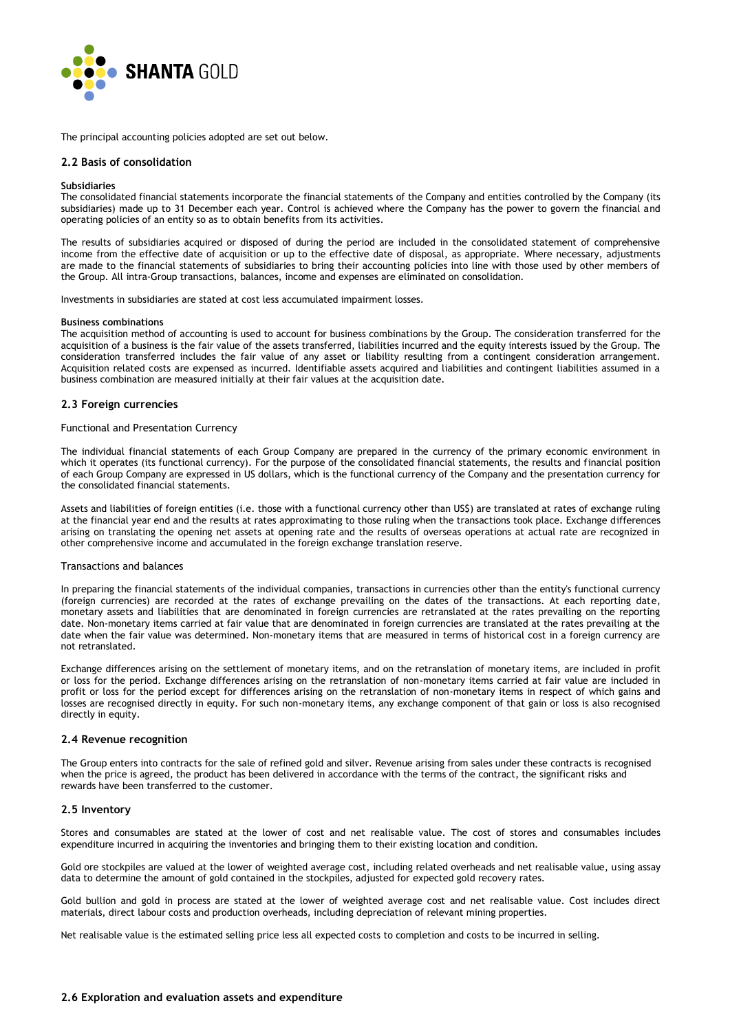

The principal accounting policies adopted are set out below.

#### **2.2 Basis of consolidation**

#### **Subsidiaries**

The consolidated financial statements incorporate the financial statements of the Company and entities controlled by the Company (its subsidiaries) made up to 31 December each year. Control is achieved where the Company has the power to govern the financial and operating policies of an entity so as to obtain benefits from its activities.

The results of subsidiaries acquired or disposed of during the period are included in the consolidated statement of comprehensive income from the effective date of acquisition or up to the effective date of disposal, as appropriate. Where necessary, adjustments are made to the financial statements of subsidiaries to bring their accounting policies into line with those used by other members of the Group. All intra-Group transactions, balances, income and expenses are eliminated on consolidation.

Investments in subsidiaries are stated at cost less accumulated impairment losses.

#### **Business combinations**

The acquisition method of accounting is used to account for business combinations by the Group. The consideration transferred for the acquisition of a business is the fair value of the assets transferred, liabilities incurred and the equity interests issued by the Group. The consideration transferred includes the fair value of any asset or liability resulting from a contingent consideration arrangement. Acquisition related costs are expensed as incurred. Identifiable assets acquired and liabilities and contingent liabilities assumed in a business combination are measured initially at their fair values at the acquisition date.

#### **2.3 Foreign currencies**

#### Functional and Presentation Currency

The individual financial statements of each Group Company are prepared in the currency of the primary economic environment in which it operates (its functional currency). For the purpose of the consolidated financial statements, the results and financial position of each Group Company are expressed in US dollars, which is the functional currency of the Company and the presentation currency for the consolidated financial statements.

Assets and liabilities of foreign entities (i.e. those with a functional currency other than US\$) are translated at rates of exchange ruling at the financial year end and the results at rates approximating to those ruling when the transactions took place. Exchange differences arising on translating the opening net assets at opening rate and the results of overseas operations at actual rate are recognized in other comprehensive income and accumulated in the foreign exchange translation reserve.

#### Transactions and balances

In preparing the financial statements of the individual companies, transactions in currencies other than the entity's functional currency (foreign currencies) are recorded at the rates of exchange prevailing on the dates of the transactions. At each reporting date, monetary assets and liabilities that are denominated in foreign currencies are retranslated at the rates prevailing on the reporting date. Non-monetary items carried at fair value that are denominated in foreign currencies are translated at the rates prevailing at the date when the fair value was determined. Non-monetary items that are measured in terms of historical cost in a foreign currency are not retranslated.

Exchange differences arising on the settlement of monetary items, and on the retranslation of monetary items, are included in profit or loss for the period. Exchange differences arising on the retranslation of non-monetary items carried at fair value are included in profit or loss for the period except for differences arising on the retranslation of non-monetary items in respect of which gains and losses are recognised directly in equity. For such non-monetary items, any exchange component of that gain or loss is also recognised directly in equity.

#### **2.4 Revenue recognition**

The Group enters into contracts for the sale of refined gold and silver. Revenue arising from sales under these contracts is recognised when the price is agreed, the product has been delivered in accordance with the terms of the contract, the significant risks and rewards have been transferred to the customer.

#### **2.5 Inventory**

Stores and consumables are stated at the lower of cost and net realisable value. The cost of stores and consumables includes expenditure incurred in acquiring the inventories and bringing them to their existing location and condition.

Gold ore stockpiles are valued at the lower of weighted average cost, including related overheads and net realisable value, using assay data to determine the amount of gold contained in the stockpiles, adjusted for expected gold recovery rates.

Gold bullion and gold in process are stated at the lower of weighted average cost and net realisable value. Cost includes direct materials, direct labour costs and production overheads, including depreciation of relevant mining properties.

Net realisable value is the estimated selling price less all expected costs to completion and costs to be incurred in selling.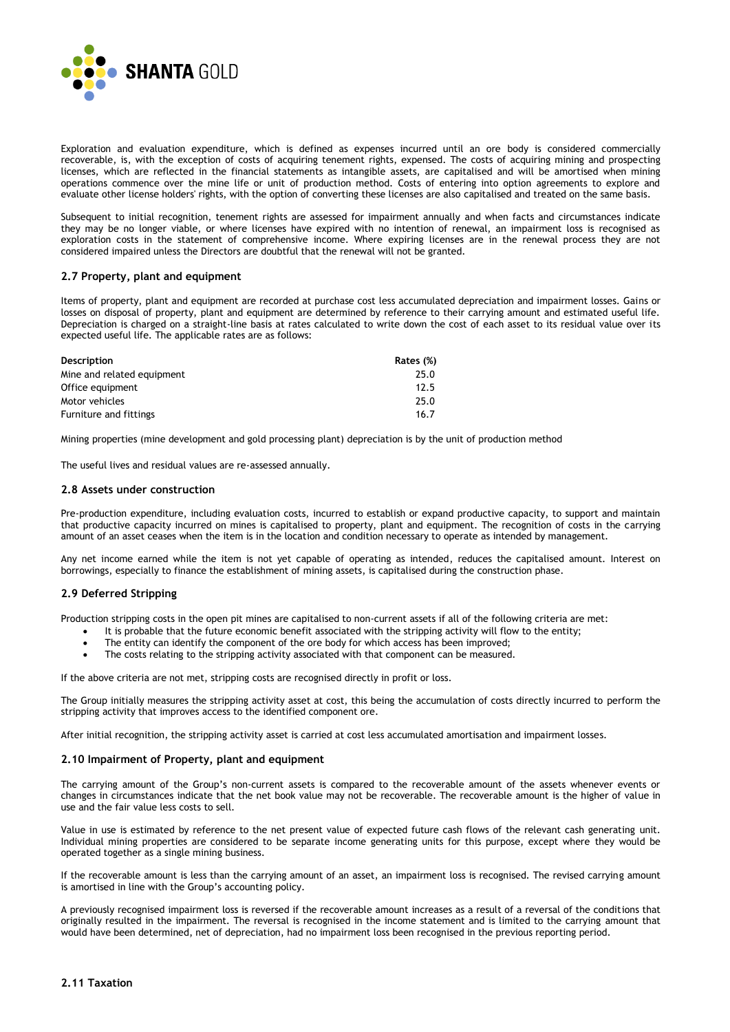

Exploration and evaluation expenditure, which is defined as expenses incurred until an ore body is considered commercially recoverable, is, with the exception of costs of acquiring tenement rights, expensed. The costs of acquiring mining and prospecting licenses, which are reflected in the financial statements as intangible assets, are capitalised and will be amortised when mining operations commence over the mine life or unit of production method. Costs of entering into option agreements to explore and evaluate other license holders' rights, with the option of converting these licenses are also capitalised and treated on the same basis.

Subsequent to initial recognition, tenement rights are assessed for impairment annually and when facts and circumstances indicate they may be no longer viable, or where licenses have expired with no intention of renewal, an impairment loss is recognised as exploration costs in the statement of comprehensive income. Where expiring licenses are in the renewal process they are not considered impaired unless the Directors are doubtful that the renewal will not be granted.

#### **2.7 Property, plant and equipment**

Items of property, plant and equipment are recorded at purchase cost less accumulated depreciation and impairment losses. Gains or losses on disposal of property, plant and equipment are determined by reference to their carrying amount and estimated useful life. Depreciation is charged on a straight-line basis at rates calculated to write down the cost of each asset to its residual value over its expected useful life. The applicable rates are as follows:

| Description                | Rates (%) |
|----------------------------|-----------|
| Mine and related equipment | 25.0      |
| Office equipment           | 12.5      |
| Motor vehicles             | 25.0      |
| Furniture and fittings     | 16.7      |

Mining properties (mine development and gold processing plant) depreciation is by the unit of production method

The useful lives and residual values are re-assessed annually.

#### **2.8 Assets under construction**

Pre-production expenditure, including evaluation costs, incurred to establish or expand productive capacity, to support and maintain that productive capacity incurred on mines is capitalised to property, plant and equipment. The recognition of costs in the carrying amount of an asset ceases when the item is in the location and condition necessary to operate as intended by management.

Any net income earned while the item is not yet capable of operating as intended, reduces the capitalised amount. Interest on borrowings, especially to finance the establishment of mining assets, is capitalised during the construction phase.

#### **2.9 Deferred Stripping**

Production stripping costs in the open pit mines are capitalised to non-current assets if all of the following criteria are met:

- It is probable that the future economic benefit associated with the stripping activity will flow to the entity;
- The entity can identify the component of the ore body for which access has been improved;
- The costs relating to the stripping activity associated with that component can be measured.

If the above criteria are not met, stripping costs are recognised directly in profit or loss.

The Group initially measures the stripping activity asset at cost, this being the accumulation of costs directly incurred to perform the stripping activity that improves access to the identified component ore.

After initial recognition, the stripping activity asset is carried at cost less accumulated amortisation and impairment losses.

#### **2.10 Impairment of Property, plant and equipment**

The carrying amount of the Group's non-current assets is compared to the recoverable amount of the assets whenever events or changes in circumstances indicate that the net book value may not be recoverable. The recoverable amount is the higher of value in use and the fair value less costs to sell.

Value in use is estimated by reference to the net present value of expected future cash flows of the relevant cash generating unit. Individual mining properties are considered to be separate income generating units for this purpose, except where they would be operated together as a single mining business.

If the recoverable amount is less than the carrying amount of an asset, an impairment loss is recognised. The revised carrying amount is amortised in line with the Group's accounting policy.

A previously recognised impairment loss is reversed if the recoverable amount increases as a result of a reversal of the conditions that originally resulted in the impairment. The reversal is recognised in the income statement and is limited to the carrying amount that would have been determined, net of depreciation, had no impairment loss been recognised in the previous reporting period.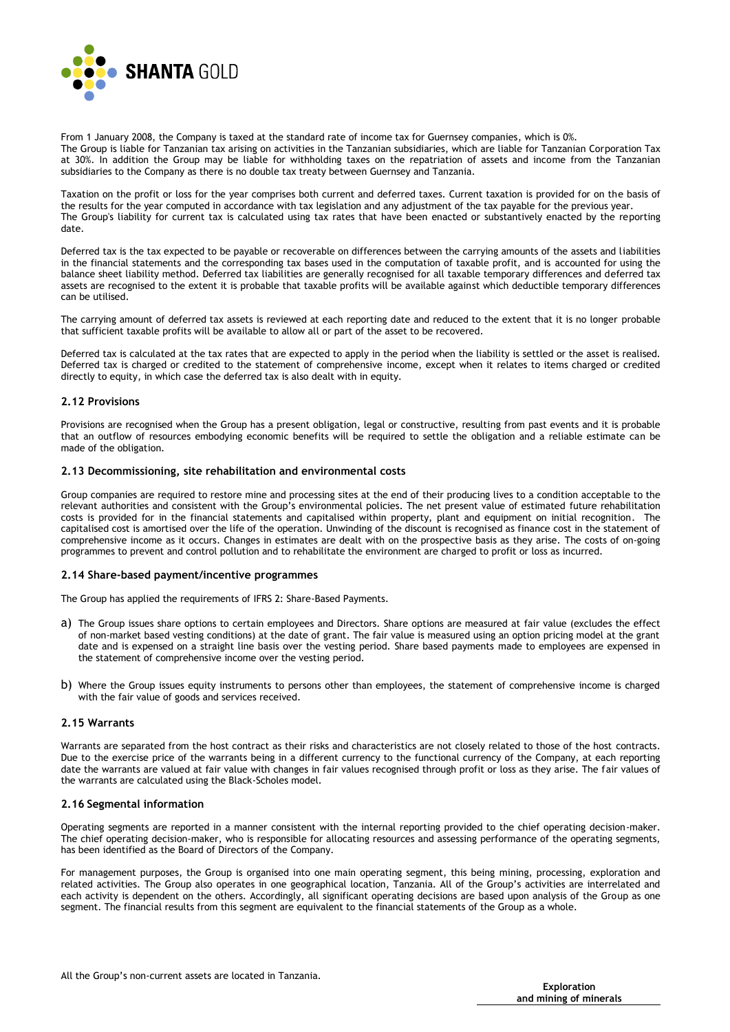

From 1 January 2008, the Company is taxed at the standard rate of income tax for Guernsey companies, which is 0%. The Group is liable for Tanzanian tax arising on activities in the Tanzanian subsidiaries, which are liable for Tanzanian Corporation Tax at 30%. In addition the Group may be liable for withholding taxes on the repatriation of assets and income from the Tanzanian subsidiaries to the Company as there is no double tax treaty between Guernsey and Tanzania.

Taxation on the profit or loss for the year comprises both current and deferred taxes. Current taxation is provided for on the basis of the results for the year computed in accordance with tax legislation and any adjustment of the tax payable for the previous year. The Group's liability for current tax is calculated using tax rates that have been enacted or substantively enacted by the reporting date.

Deferred tax is the tax expected to be payable or recoverable on differences between the carrying amounts of the assets and liabilities in the financial statements and the corresponding tax bases used in the computation of taxable profit, and is accounted for using the balance sheet liability method. Deferred tax liabilities are generally recognised for all taxable temporary differences and deferred tax assets are recognised to the extent it is probable that taxable profits will be available against which deductible temporary differences can be utilised.

The carrying amount of deferred tax assets is reviewed at each reporting date and reduced to the extent that it is no longer probable that sufficient taxable profits will be available to allow all or part of the asset to be recovered.

Deferred tax is calculated at the tax rates that are expected to apply in the period when the liability is settled or the asset is realised. Deferred tax is charged or credited to the statement of comprehensive income, except when it relates to items charged or credited directly to equity, in which case the deferred tax is also dealt with in equity.

#### **2.12 Provisions**

Provisions are recognised when the Group has a present obligation, legal or constructive, resulting from past events and it is probable that an outflow of resources embodying economic benefits will be required to settle the obligation and a reliable estimate can be made of the obligation.

#### **2.13 Decommissioning, site rehabilitation and environmental costs**

Group companies are required to restore mine and processing sites at the end of their producing lives to a condition acceptable to the relevant authorities and consistent with the Group's environmental policies. The net present value of estimated future rehabilitation costs is provided for in the financial statements and capitalised within property, plant and equipment on initial recognition. The capitalised cost is amortised over the life of the operation. Unwinding of the discount is recognised as finance cost in the statement of comprehensive income as it occurs. Changes in estimates are dealt with on the prospective basis as they arise. The costs of on-going programmes to prevent and control pollution and to rehabilitate the environment are charged to profit or loss as incurred.

#### **2.14 Share-based payment/incentive programmes**

The Group has applied the requirements of IFRS 2: Share-Based Payments.

- a) The Group issues share options to certain employees and Directors. Share options are measured at fair value (excludes the effect of non-market based vesting conditions) at the date of grant. The fair value is measured using an option pricing model at the grant date and is expensed on a straight line basis over the vesting period. Share based payments made to employees are expensed in the statement of comprehensive income over the vesting period.
- b) Where the Group issues equity instruments to persons other than employees, the statement of comprehensive income is charged with the fair value of goods and services received.

#### **2.15 Warrants**

Warrants are separated from the host contract as their risks and characteristics are not closely related to those of the host contracts. Due to the exercise price of the warrants being in a different currency to the functional currency of the Company, at each reporting date the warrants are valued at fair value with changes in fair values recognised through profit or loss as they arise. The fair values of the warrants are calculated using the Black-Scholes model.

#### **2.16 Segmental information**

Operating segments are reported in a manner consistent with the internal reporting provided to the chief operating decision-maker. The chief operating decision-maker, who is responsible for allocating resources and assessing performance of the operating segments, has been identified as the Board of Directors of the Company.

For management purposes, the Group is organised into one main operating segment, this being mining, processing, exploration and related activities. The Group also operates in one geographical location, Tanzania. All of the Group's activities are interrelated and each activity is dependent on the others. Accordingly, all significant operating decisions are based upon analysis of the Group as one segment. The financial results from this segment are equivalent to the financial statements of the Group as a whole.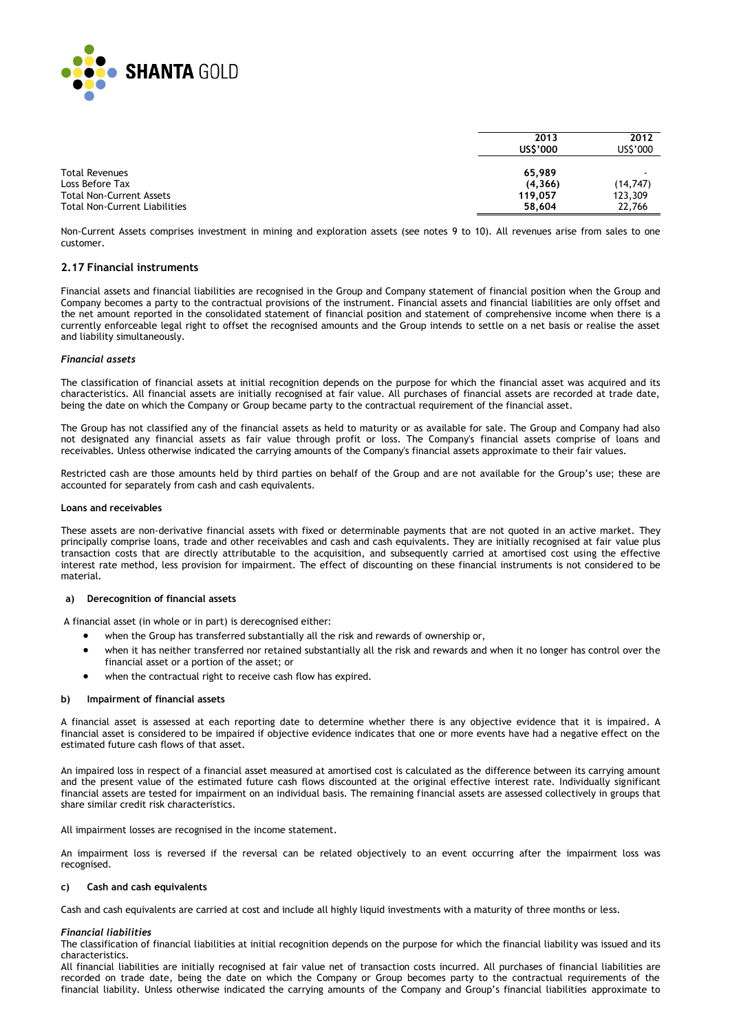

|                                                    | 2013<br>US\$'000    | 2012<br>US\$'000     |
|----------------------------------------------------|---------------------|----------------------|
| <b>Total Revenues</b>                              | 65,989              |                      |
| Loss Before Tax<br><b>Total Non-Current Assets</b> | (4, 366)<br>119.057 | (14, 747)<br>123,309 |
| <b>Total Non-Current Liabilities</b>               | 58,604              | 22.766               |

Non-Current Assets comprises investment in mining and exploration assets (see notes 9 to 10). All revenues arise from sales to one customer.

#### **2.17 Financial instruments**

Financial assets and financial liabilities are recognised in the Group and Company statement of financial position when the Group and Company becomes a party to the contractual provisions of the instrument. Financial assets and financial liabilities are only offset and the net amount reported in the consolidated statement of financial position and statement of comprehensive income when there is a currently enforceable legal right to offset the recognised amounts and the Group intends to settle on a net basis or realise the asset and liability simultaneously.

#### *Financial assets*

The classification of financial assets at initial recognition depends on the purpose for which the financial asset was acquired and its characteristics. All financial assets are initially recognised at fair value. All purchases of financial assets are recorded at trade date, being the date on which the Company or Group became party to the contractual requirement of the financial asset.

The Group has not classified any of the financial assets as held to maturity or as available for sale. The Group and Company had also not designated any financial assets as fair value through profit or loss. The Company's financial assets comprise of loans and receivables. Unless otherwise indicated the carrying amounts of the Company's financial assets approximate to their fair values.

Restricted cash are those amounts held by third parties on behalf of the Group and are not available for the Group's use; these are accounted for separately from cash and cash equivalents.

#### **Loans and receivables**

These assets are non-derivative financial assets with fixed or determinable payments that are not quoted in an active market. They principally comprise loans, trade and other receivables and cash and cash equivalents. They are initially recognised at fair value plus transaction costs that are directly attributable to the acquisition, and subsequently carried at amortised cost using the effective interest rate method, less provision for impairment. The effect of discounting on these financial instruments is not considered to be material.

#### **a) Derecognition of financial assets**

A financial asset (in whole or in part) is derecognised either:

- when the Group has transferred substantially all the risk and rewards of ownership or,
- when it has neither transferred nor retained substantially all the risk and rewards and when it no longer has control over the financial asset or a portion of the asset; or
- when the contractual right to receive cash flow has expired.

#### **b) Impairment of financial assets**

A financial asset is assessed at each reporting date to determine whether there is any objective evidence that it is impaired. A financial asset is considered to be impaired if objective evidence indicates that one or more events have had a negative effect on the estimated future cash flows of that asset.

An impaired loss in respect of a financial asset measured at amortised cost is calculated as the difference between its carrying amount and the present value of the estimated future cash flows discounted at the original effective interest rate. Individually significant financial assets are tested for impairment on an individual basis. The remaining financial assets are assessed collectively in groups that share similar credit risk characteristics.

All impairment losses are recognised in the income statement.

An impairment loss is reversed if the reversal can be related objectively to an event occurring after the impairment loss was recognised.

#### **c) Cash and cash equivalents**

Cash and cash equivalents are carried at cost and include all highly liquid investments with a maturity of three months or less.

#### *Financial liabilities*

The classification of financial liabilities at initial recognition depends on the purpose for which the financial liability was issued and its characteristics.

All financial liabilities are initially recognised at fair value net of transaction costs incurred. All purchases of financial liabilities are recorded on trade date, being the date on which the Company or Group becomes party to the contractual requirements of the financial liability. Unless otherwise indicated the carrying amounts of the Company and Group's financial liabilities approximate to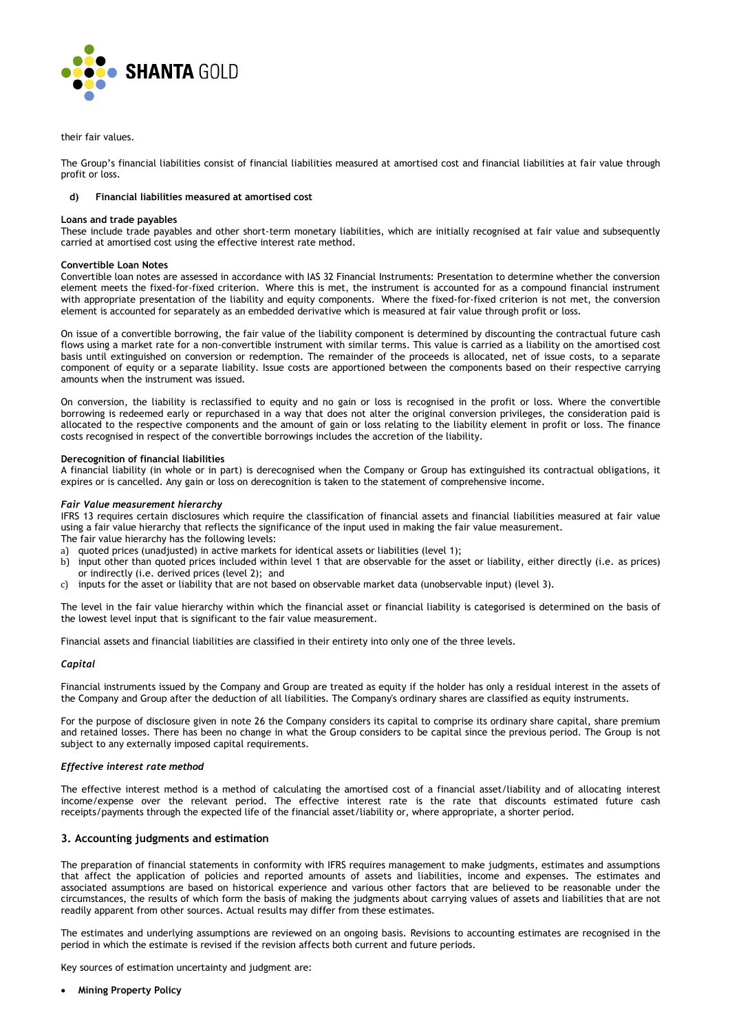

their fair values.

The Group's financial liabilities consist of financial liabilities measured at amortised cost and financial liabilities at fair value through profit or loss.

#### **d) Financial liabilities measured at amortised cost**

#### **Loans and trade payables**

These include trade payables and other short-term monetary liabilities, which are initially recognised at fair value and subsequently carried at amortised cost using the effective interest rate method.

#### **Convertible Loan Notes**

Convertible loan notes are assessed in accordance with IAS 32 Financial Instruments: Presentation to determine whether the conversion element meets the fixed-for-fixed criterion. Where this is met, the instrument is accounted for as a compound financial instrument with appropriate presentation of the liability and equity components. Where the fixed-for-fixed criterion is not met, the conversion element is accounted for separately as an embedded derivative which is measured at fair value through profit or loss.

On issue of a convertible borrowing, the fair value of the liability component is determined by discounting the contractual future cash flows using a market rate for a non-convertible instrument with similar terms. This value is carried as a liability on the amortised cost basis until extinguished on conversion or redemption. The remainder of the proceeds is allocated, net of issue costs, to a separate component of equity or a separate liability. Issue costs are apportioned between the components based on their respective carrying amounts when the instrument was issued.

On conversion, the liability is reclassified to equity and no gain or loss is recognised in the profit or loss. Where the convertible borrowing is redeemed early or repurchased in a way that does not alter the original conversion privileges, the consideration paid is allocated to the respective components and the amount of gain or loss relating to the liability element in profit or loss. The finance costs recognised in respect of the convertible borrowings includes the accretion of the liability.

#### **Derecognition of financial liabilities**

A financial liability (in whole or in part) is derecognised when the Company or Group has extinguished its contractual obligations, it expires or is cancelled. Any gain or loss on derecognition is taken to the statement of comprehensive income.

#### *Fair Value measurement hierarchy*

IFRS 13 requires certain disclosures which require the classification of financial assets and financial liabilities measured at fair value using a fair value hierarchy that reflects the significance of the input used in making the fair value measurement. The fair value hierarchy has the following levels:

- a) quoted prices (unadjusted) in active markets for identical assets or liabilities (level 1);
- b) input other than quoted prices included within level 1 that are observable for the asset or liability, either directly (i.e. as prices) or indirectly (i.e. derived prices (level 2); and
- c) inputs for the asset or liability that are not based on observable market data (unobservable input) (level 3).

The level in the fair value hierarchy within which the financial asset or financial liability is categorised is determined on the basis of the lowest level input that is significant to the fair value measurement.

Financial assets and financial liabilities are classified in their entirety into only one of the three levels.

#### *Capital*

Financial instruments issued by the Company and Group are treated as equity if the holder has only a residual interest in the assets of the Company and Group after the deduction of all liabilities. The Company's ordinary shares are classified as equity instruments.

For the purpose of disclosure given in note 26 the Company considers its capital to comprise its ordinary share capital, share premium and retained losses. There has been no change in what the Group considers to be capital since the previous period. The Group is not subject to any externally imposed capital requirements.

#### *Effective interest rate method*

The effective interest method is a method of calculating the amortised cost of a financial asset/liability and of allocating interest income/expense over the relevant period. The effective interest rate is the rate that discounts estimated future cash receipts/payments through the expected life of the financial asset/liability or, where appropriate, a shorter period.

#### **3. Accounting judgments and estimation**

The preparation of financial statements in conformity with IFRS requires management to make judgments, estimates and assumptions that affect the application of policies and reported amounts of assets and liabilities, income and expenses. The estimates and associated assumptions are based on historical experience and various other factors that are believed to be reasonable under the circumstances, the results of which form the basis of making the judgments about carrying values of assets and liabilities that are not readily apparent from other sources. Actual results may differ from these estimates.

The estimates and underlying assumptions are reviewed on an ongoing basis. Revisions to accounting estimates are recognised in the period in which the estimate is revised if the revision affects both current and future periods.

Key sources of estimation uncertainty and judgment are:

**Mining Property Policy**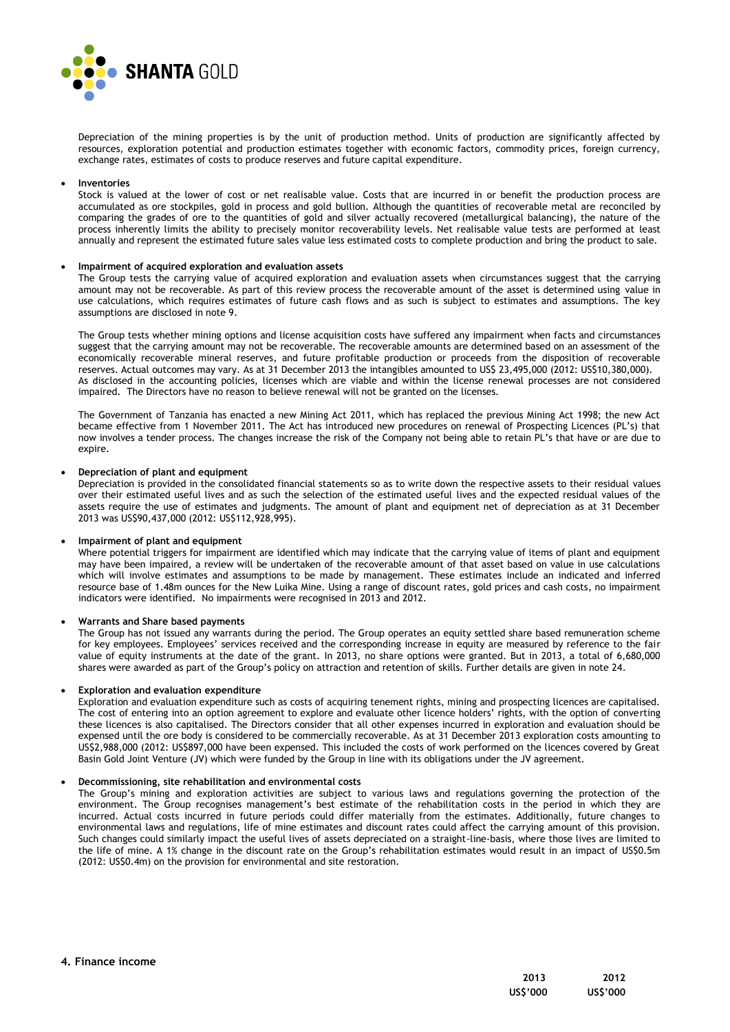

Depreciation of the mining properties is by the unit of production method. Units of production are significantly affected by resources, exploration potential and production estimates together with economic factors, commodity prices, foreign currency, exchange rates, estimates of costs to produce reserves and future capital expenditure.

#### **Inventories**

Stock is valued at the lower of cost or net realisable value. Costs that are incurred in or benefit the production process are accumulated as ore stockpiles, gold in process and gold bullion. Although the quantities of recoverable metal are reconciled by comparing the grades of ore to the quantities of gold and silver actually recovered (metallurgical balancing), the nature of the process inherently limits the ability to precisely monitor recoverability levels. Net realisable value tests are performed at least annually and represent the estimated future sales value less estimated costs to complete production and bring the product to sale.

#### **Impairment of acquired exploration and evaluation assets**

The Group tests the carrying value of acquired exploration and evaluation assets when circumstances suggest that the carrying amount may not be recoverable. As part of this review process the recoverable amount of the asset is determined using value in use calculations, which requires estimates of future cash flows and as such is subject to estimates and assumptions. The key assumptions are disclosed in note 9.

The Group tests whether mining options and license acquisition costs have suffered any impairment when facts and circumstances suggest that the carrying amount may not be recoverable. The recoverable amounts are determined based on an assessment of the economically recoverable mineral reserves, and future profitable production or proceeds from the disposition of recoverable reserves. Actual outcomes may vary. As at 31 December 2013 the intangibles amounted to US\$ 23,495,000 (2012: US\$10,380,000). As disclosed in the accounting policies, licenses which are viable and within the license renewal processes are not considered impaired. The Directors have no reason to believe renewal will not be granted on the licenses.

The Government of Tanzania has enacted a new Mining Act 2011, which has replaced the previous Mining Act 1998; the new Act became effective from 1 November 2011. The Act has introduced new procedures on renewal of Prospecting Licences (PL's) that now involves a tender process. The changes increase the risk of the Company not being able to retain PL's that have or are due to expire.

#### **Depreciation of plant and equipment**

Depreciation is provided in the consolidated financial statements so as to write down the respective assets to their residual values over their estimated useful lives and as such the selection of the estimated useful lives and the expected residual values of the assets require the use of estimates and judgments. The amount of plant and equipment net of depreciation as at 31 December 2013 was US\$90,437,000 (2012: US\$112,928,995).

#### **Impairment of plant and equipment**

Where potential triggers for impairment are identified which may indicate that the carrying value of items of plant and equipment may have been impaired, a review will be undertaken of the recoverable amount of that asset based on value in use calculations which will involve estimates and assumptions to be made by management. These estimates include an indicated and inferred resource base of 1.48m ounces for the New Luika Mine. Using a range of discount rates, gold prices and cash costs, no impairment indicators were identified. No impairments were recognised in 2013 and 2012.

#### **Warrants and Share based payments**

The Group has not issued any warrants during the period. The Group operates an equity settled share based remuneration scheme for key employees. Employees' services received and the corresponding increase in equity are measured by reference to the fair value of equity instruments at the date of the grant. In 2013, no share options were granted. But in 2013, a total of 6,680,000 shares were awarded as part of the Group's policy on attraction and retention of skills. Further details are given in note 24.

#### **Exploration and evaluation expenditure**

Exploration and evaluation expenditure such as costs of acquiring tenement rights, mining and prospecting licences are capitalised. The cost of entering into an option agreement to explore and evaluate other licence holders' rights, with the option of converting these licences is also capitalised. The Directors consider that all other expenses incurred in exploration and evaluation should be expensed until the ore body is considered to be commercially recoverable. As at 31 December 2013 exploration costs amounting to US\$2,988,000 (2012: US\$897,000 have been expensed. This included the costs of work performed on the licences covered by Great Basin Gold Joint Venture (JV) which were funded by the Group in line with its obligations under the JV agreement.

#### **Decommissioning, site rehabilitation and environmental costs**

The Group's mining and exploration activities are subject to various laws and regulations governing the protection of the environment. The Group recognises management's best estimate of the rehabilitation costs in the period in which they are incurred. Actual costs incurred in future periods could differ materially from the estimates. Additionally, future changes to environmental laws and regulations, life of mine estimates and discount rates could affect the carrying amount of this provision. Such changes could similarly impact the useful lives of assets depreciated on a straight-line-basis, where those lives are limited to the life of mine. A 1% change in the discount rate on the Group's rehabilitation estimates would result in an impact of US\$0.5m (2012: US\$0.4m) on the provision for environmental and site restoration.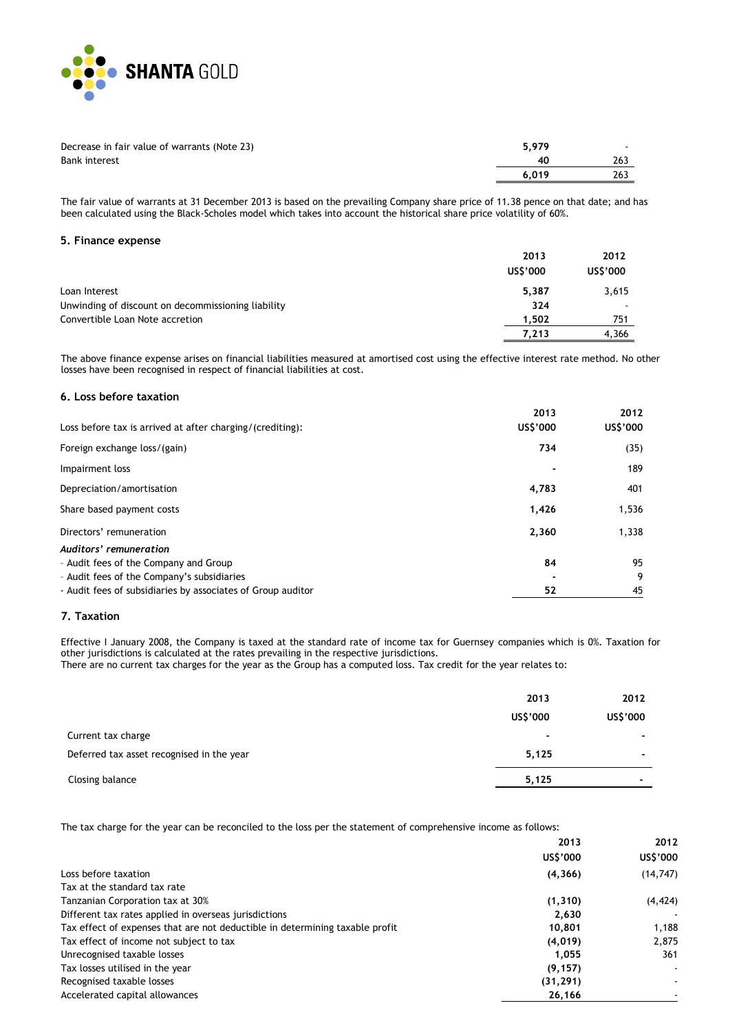

| Decrease in fair value of warrants (Note 23) | 5.979 | $\overline{\phantom{a}}$ |
|----------------------------------------------|-------|--------------------------|
| <b>Bank interest</b>                         | 40    | 263                      |
|                                              | 6.019 | 263                      |

The fair value of warrants at 31 December 2013 is based on the prevailing Company share price of 11.38 pence on that date; and has been calculated using the Black-Scholes model which takes into account the historical share price volatility of 60%.

#### **5. Finance expense**

|                                                    | 2013     | 2012     |
|----------------------------------------------------|----------|----------|
|                                                    | US\$'000 | US\$'000 |
| Loan Interest                                      | 5.387    | 3,615    |
| Unwinding of discount on decommissioning liability | 324      |          |
| Convertible Loan Note accretion                    | 1.502    | 751      |
|                                                    | 7.213    | 4,366    |

The above finance expense arises on financial liabilities measured at amortised cost using the effective interest rate method. No other losses have been recognised in respect of financial liabilities at cost.

## **6. Loss before taxation**

| Loss before tax is arrived at after charging/(crediting):                                                     | 2013<br>US\$'000 | 2012<br>US\$'000 |
|---------------------------------------------------------------------------------------------------------------|------------------|------------------|
| Foreign exchange loss/(gain)                                                                                  | 734              | (35)             |
| Impairment loss                                                                                               |                  | 189              |
| Depreciation/amortisation                                                                                     | 4,783            | 401              |
| Share based payment costs                                                                                     | 1,426            | 1,536            |
| Directors' remuneration                                                                                       | 2,360            | 1,338            |
| Auditors' remuneration<br>- Audit fees of the Company and Group<br>- Audit fees of the Company's subsidiaries | 84               | 95<br>9          |
| - Audit fees of subsidiaries by associates of Group auditor                                                   | 52               | 45               |

#### **7. Taxation**

Effective I January 2008, the Company is taxed at the standard rate of income tax for Guernsey companies which is 0%. Taxation for other jurisdictions is calculated at the rates prevailing in the respective jurisdictions.

There are no current tax charges for the year as the Group has a computed loss. Tax credit for the year relates to:

|                                           | 2013<br>US\$'000 | 2012<br>US\$'000         |
|-------------------------------------------|------------------|--------------------------|
| Current tax charge                        | ۰                | $\overline{\phantom{0}}$ |
| Deferred tax asset recognised in the year | 5,125            | $\overline{\phantom{0}}$ |
| Closing balance                           | 5,125            | $\blacksquare$           |

The tax charge for the year can be reconciled to the loss per the statement of comprehensive income as follows:

| 2013                                                                                   | 2012      |
|----------------------------------------------------------------------------------------|-----------|
| US\$'000                                                                               | US\$'000  |
| Loss before taxation<br>(4, 366)                                                       | (14, 747) |
| Tax at the standard tax rate                                                           |           |
| Tanzanian Corporation tax at 30%<br>(1, 310)                                           | (4, 424)  |
| Different tax rates applied in overseas jurisdictions<br>2.630                         |           |
| Tax effect of expenses that are not deductible in determining taxable profit<br>10,801 | 1,188     |
| Tax effect of income not subject to tax<br>(4,019)                                     | 2.875     |
| Unrecognised taxable losses<br>1.055                                                   | 361       |
| Tax losses utilised in the year<br>(9, 157)                                            | ٠         |
| Recognised taxable losses<br>(31, 291)                                                 |           |
| Accelerated capital allowances<br>26,166                                               |           |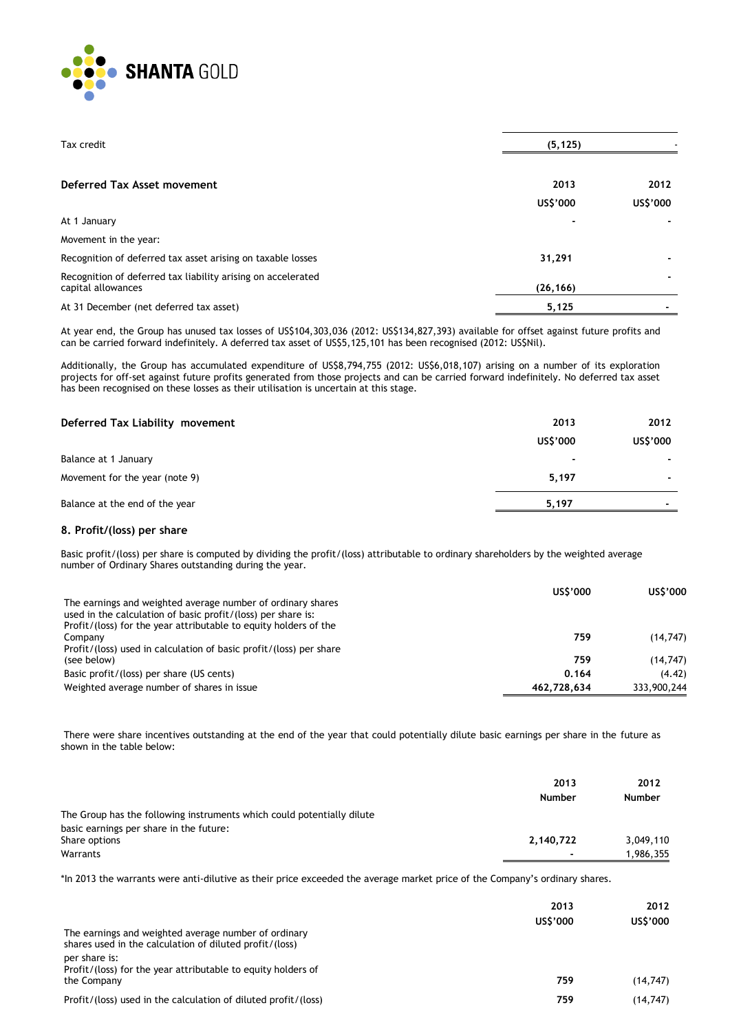

| Tax credit                                                                         | (5, 125)  |          |
|------------------------------------------------------------------------------------|-----------|----------|
| Deferred Tax Asset movement                                                        | 2013      | 2012     |
|                                                                                    | US\$'000  | US\$'000 |
| At 1 January                                                                       |           |          |
| Movement in the year:                                                              |           |          |
| Recognition of deferred tax asset arising on taxable losses                        | 31,291    |          |
| Recognition of deferred tax liability arising on accelerated<br>capital allowances | (26, 166) |          |
| At 31 December (net deferred tax asset)                                            | 5,125     |          |

At year end, the Group has unused tax losses of US\$104,303,036 (2012: US\$134,827,393) available for offset against future profits and can be carried forward indefinitely. A deferred tax asset of US\$5,125,101 has been recognised (2012: US\$Nil).

Additionally, the Group has accumulated expenditure of US\$8,794,755 (2012: US\$6,018,107) arising on a number of its exploration projects for off-set against future profits generated from those projects and can be carried forward indefinitely. No deferred tax asset has been recognised on these losses as their utilisation is uncertain at this stage.

| Deferred Tax Liability movement | 2013                     | 2012                     |
|---------------------------------|--------------------------|--------------------------|
|                                 | US\$'000                 | US\$'000                 |
| Balance at 1 January            | $\overline{\phantom{a}}$ | . .                      |
| Movement for the year (note 9)  | 5,197                    | $\overline{\phantom{a}}$ |
| Balance at the end of the year  | 5,197                    | $\overline{\phantom{a}}$ |

#### **8. Profit/(loss) per share**

Basic profit/(loss) per share is computed by dividing the profit/(loss) attributable to ordinary shareholders by the weighted average number of Ordinary Shares outstanding during the year.

|                                                                    | US\$'000    | US\$'000    |
|--------------------------------------------------------------------|-------------|-------------|
| The earnings and weighted average number of ordinary shares        |             |             |
| used in the calculation of basic profit/(loss) per share is:       |             |             |
| Profit/(loss) for the year attributable to equity holders of the   |             |             |
| Company                                                            | 759         | (14, 747)   |
| Profit/(loss) used in calculation of basic profit/(loss) per share |             |             |
| (see below)                                                        | 759         | (14, 747)   |
| Basic profit/(loss) per share (US cents)                           | 0.164       | (4.42)      |
| Weighted average number of shares in issue                         | 462.728.634 | 333,900,244 |

There were share incentives outstanding at the end of the year that could potentially dilute basic earnings per share in the future as shown in the table below:

|                                                                        | 2013<br><b>Number</b> | 2012<br><b>Number</b> |
|------------------------------------------------------------------------|-----------------------|-----------------------|
| The Group has the following instruments which could potentially dilute |                       |                       |
| basic earnings per share in the future:                                |                       |                       |
| Share options                                                          | 2,140,722             | 3,049,110             |
| Warrants                                                               | $\blacksquare$        | 1,986,355             |

\*In 2013 the warrants were anti-dilutive as their price exceeded the average market price of the Company's ordinary shares.

| The earnings and weighted average number of ordinary<br>shares used in the calculation of diluted profit/(loss) | 2013<br>US\$'000 | 2012<br>US\$'000 |
|-----------------------------------------------------------------------------------------------------------------|------------------|------------------|
| per share is:<br>Profit/(loss) for the year attributable to equity holders of<br>the Company                    | 759              | (14, 747)        |
| Profit/(loss) used in the calculation of diluted profit/(loss)                                                  | 759              | (14, 747)        |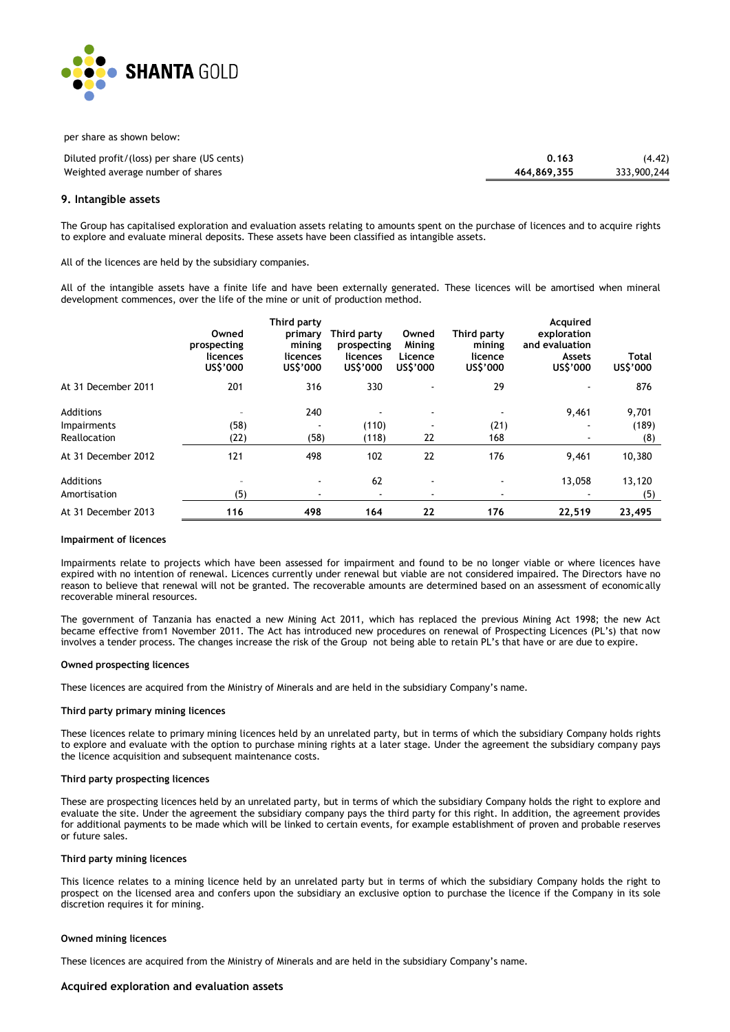

per share as shown below:

| Diluted profit/(loss) per share (US cents) | 0.163       | (4.42)      |
|--------------------------------------------|-------------|-------------|
| Weighted average number of shares          | 464.869.355 | 333,900,244 |

#### **9. Intangible assets**

The Group has capitalised exploration and evaluation assets relating to amounts spent on the purchase of licences and to acquire rights to explore and evaluate mineral deposits. These assets have been classified as intangible assets.

All of the licences are held by the subsidiary companies.

All of the intangible assets have a finite life and have been externally generated. These licences will be amortised when mineral development commences, over the life of the mine or unit of production method.

|                     | Owned<br>prospecting<br>licences<br>US\$'000 | Third party<br>primary<br>mining<br>licences<br>US\$'000 | Third party<br>prospecting<br>licences<br>US\$'000 | Owned<br>Mining<br>Licence<br>US\$'000 | Third party<br>mining<br>licence<br>US\$'000 | Acquired<br>exploration<br>and evaluation<br><b>Assets</b><br>US\$'000 | Total<br>US\$'000 |
|---------------------|----------------------------------------------|----------------------------------------------------------|----------------------------------------------------|----------------------------------------|----------------------------------------------|------------------------------------------------------------------------|-------------------|
| At 31 December 2011 | 201                                          | 316                                                      | 330                                                |                                        | 29                                           |                                                                        | 876               |
| Additions           | $\overline{\phantom{a}}$                     | 240                                                      |                                                    | $\sim$                                 |                                              | 9,461                                                                  | 9,701             |
| <b>Impairments</b>  | (58)                                         |                                                          | (110)                                              |                                        | (21)                                         |                                                                        | (189)             |
| Reallocation        | (22)                                         | (58)                                                     | (118)                                              | 22                                     | 168                                          |                                                                        | (8)               |
| At 31 December 2012 | 121                                          | 498                                                      | 102                                                | 22                                     | 176                                          | 9,461                                                                  | 10,380            |
| Additions           | $\overline{\phantom{a}}$                     | ٠                                                        | 62                                                 | $\sim$                                 |                                              | 13.058                                                                 | 13,120            |
| Amortisation        | (5)                                          | ٠                                                        | ۰                                                  | ٠                                      |                                              |                                                                        | (5)               |
| At 31 December 2013 | 116                                          | 498                                                      | 164                                                | 22                                     | 176                                          | 22,519                                                                 | 23,495            |

#### **Impairment of licences**

Impairments relate to projects which have been assessed for impairment and found to be no longer viable or where licences have expired with no intention of renewal. Licences currently under renewal but viable are not considered impaired. The Directors have no reason to believe that renewal will not be granted. The recoverable amounts are determined based on an assessment of economically recoverable mineral resources.

The government of Tanzania has enacted a new Mining Act 2011, which has replaced the previous Mining Act 1998; the new Act became effective from1 November 2011. The Act has introduced new procedures on renewal of Prospecting Licences (PL's) that now involves a tender process. The changes increase the risk of the Group not being able to retain PL's that have or are due to expire.

#### **Owned prospecting licences**

These licences are acquired from the Ministry of Minerals and are held in the subsidiary Company's name.

#### **Third party primary mining licences**

These licences relate to primary mining licences held by an unrelated party, but in terms of which the subsidiary Company holds rights to explore and evaluate with the option to purchase mining rights at a later stage. Under the agreement the subsidiary company pays the licence acquisition and subsequent maintenance costs.

#### **Third party prospecting licences**

These are prospecting licences held by an unrelated party, but in terms of which the subsidiary Company holds the right to explore and evaluate the site. Under the agreement the subsidiary company pays the third party for this right. In addition, the agreement provides for additional payments to be made which will be linked to certain events, for example establishment of proven and probable reserves or future sales.

#### **Third party mining licences**

This licence relates to a mining licence held by an unrelated party but in terms of which the subsidiary Company holds the right to prospect on the licensed area and confers upon the subsidiary an exclusive option to purchase the licence if the Company in its sole discretion requires it for mining.

#### **Owned mining licences**

These licences are acquired from the Ministry of Minerals and are held in the subsidiary Company's name.

#### **Acquired exploration and evaluation assets**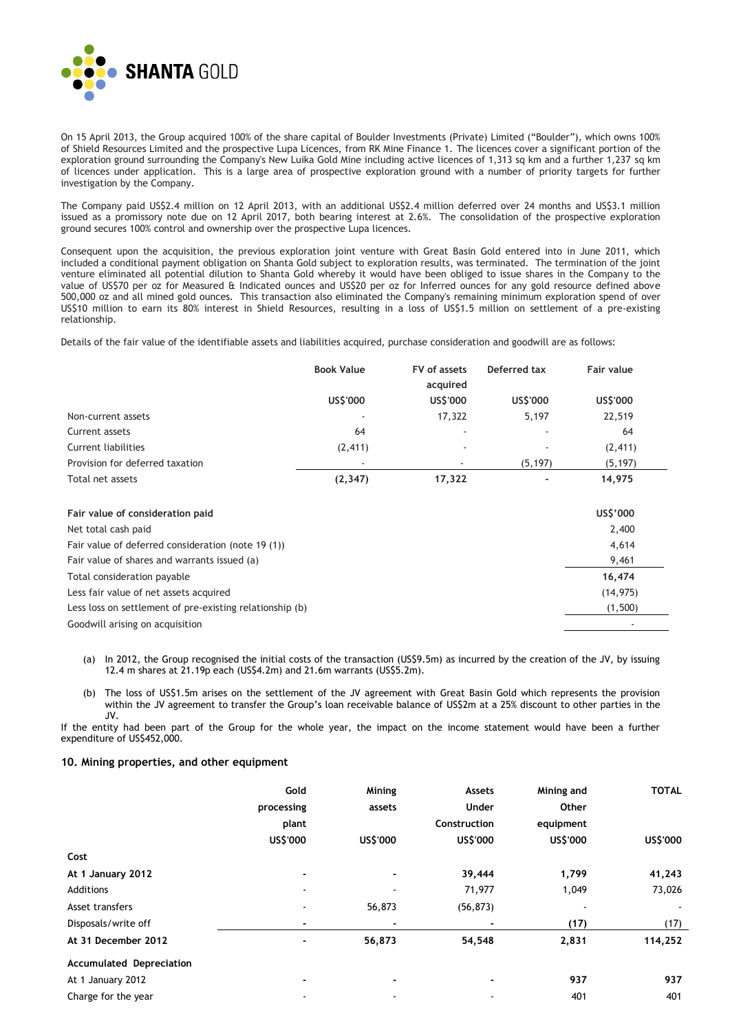

On 15 April 2013, the Group acquired 100% of the share capital of Boulder Investments (Private) Limited ("Boulder"), which owns 100% of Shield Resources Limited and the prospective Lupa Licences, from RK Mine Finance 1. The licences cover a significant portion of the exploration ground surrounding the Company's New Luika Gold Mine including active licences of 1,313 sq km and a further 1,237 sq km of licences under application. This is a large area of prospective exploration ground with a number of priority targets for further investigation by the Company.

The Company paid US\$2.4 million on 12 April 2013, with an additional US\$2.4 million deferred over 24 months and US\$3.1 million issued as a promissory note due on 12 April 2017, both bearing interest at 2.6%. The consolidation of the prospective exploration ground secures 100% control and ownership over the prospective Lupa licences.

Consequent upon the acquisition, the previous exploration joint venture with Great Basin Gold entered into in June 2011, which included a conditional payment obligation on Shanta Gold subject to exploration results, was terminated. The termination of the joint venture eliminated all potential dilution to Shanta Gold whereby it would have been obliged to issue shares in the Company to the value of US\$70 per oz for Measured & Indicated ounces and US\$20 per oz for Inferred ounces for any gold resource defined above 500,000 oz and all mined gold ounces. This transaction also eliminated the Company's remaining minimum exploration spend of over US\$10 million to earn its 80% interest in Shield Resources, resulting in a loss of US\$1.5 million on settlement of a pre-existing relationship.

Details of the fair value of the identifiable assets and liabilities acquired, purchase consideration and goodwill are as follows:

|                                                          | <b>Book Value</b> | FV of assets<br>acquired | Deferred tax | Fair value |
|----------------------------------------------------------|-------------------|--------------------------|--------------|------------|
|                                                          | US\$'000          | US\$'000                 | US\$'000     | US\$'000   |
| Non-current assets                                       |                   | 17,322                   | 5,197        | 22,519     |
| Current assets                                           | 64                |                          |              | 64         |
| <b>Current liabilities</b>                               | (2, 411)          |                          |              | (2, 411)   |
| Provision for deferred taxation                          |                   |                          | (5, 197)     | (5, 197)   |
| Total net assets                                         | (2, 347)          | 17,322                   |              | 14,975     |
| Fair value of consideration paid                         |                   |                          |              | US\$'000   |
| Net total cash paid                                      |                   |                          |              | 2,400      |
| Fair value of deferred consideration (note 19 (1))       |                   |                          |              | 4,614      |
| Fair value of shares and warrants issued (a)             |                   |                          |              | 9,461      |
| Total consideration payable                              |                   |                          |              | 16,474     |
| Less fair value of net assets acquired                   |                   |                          |              | (14, 975)  |
| Less loss on settlement of pre-existing relationship (b) |                   |                          |              | (1,500)    |
| Goodwill arising on acquisition                          |                   |                          |              |            |

- (a) In 2012, the Group recognised the initial costs of the transaction (US\$9.5m) as incurred by the creation of the JV, by issuing 12.4 m shares at 21.19p each (US\$4.2m) and 21.6m warrants (US\$5.2m).
- (b) The loss of US\$1.5m arises on the settlement of the JV agreement with Great Basin Gold which represents the provision within the JV agreement to transfer the Group's loan receivable balance of US\$2m at a 25% discount to other parties in the JV.

If the entity had been part of the Group for the whole year, the impact on the income statement would have been a further expenditure of US\$452,000.

#### **10. Mining properties, and other equipment**

|                                 | Gold                     | Mining   | Assets       | Mining and               | <b>TOTAL</b> |
|---------------------------------|--------------------------|----------|--------------|--------------------------|--------------|
|                                 | processing               | assets   | Under        | Other                    |              |
|                                 | plant                    |          | Construction | equipment                |              |
|                                 | US\$'000                 | US\$'000 | US\$'000     | US\$'000                 | US\$'000     |
| Cost                            |                          |          |              |                          |              |
| At 1 January 2012               | $\blacksquare$           |          | 39,444       | 1,799                    | 41,243       |
| Additions                       | $\overline{\phantom{a}}$ |          | 71,977       | 1,049                    | 73,026       |
| Asset transfers                 |                          | 56,873   | (56, 873)    | $\overline{\phantom{a}}$ |              |
| Disposals/write off             | $\blacksquare$           |          | ۰            | (17)                     | (17)         |
| At 31 December 2012             | $\blacksquare$           | 56,873   | 54,548       | 2,831                    | 114,252      |
| <b>Accumulated Depreciation</b> |                          |          |              |                          |              |
| At 1 January 2012               |                          |          | ۰            | 937                      | 937          |
| Charge for the year             |                          |          |              | 401                      | 401          |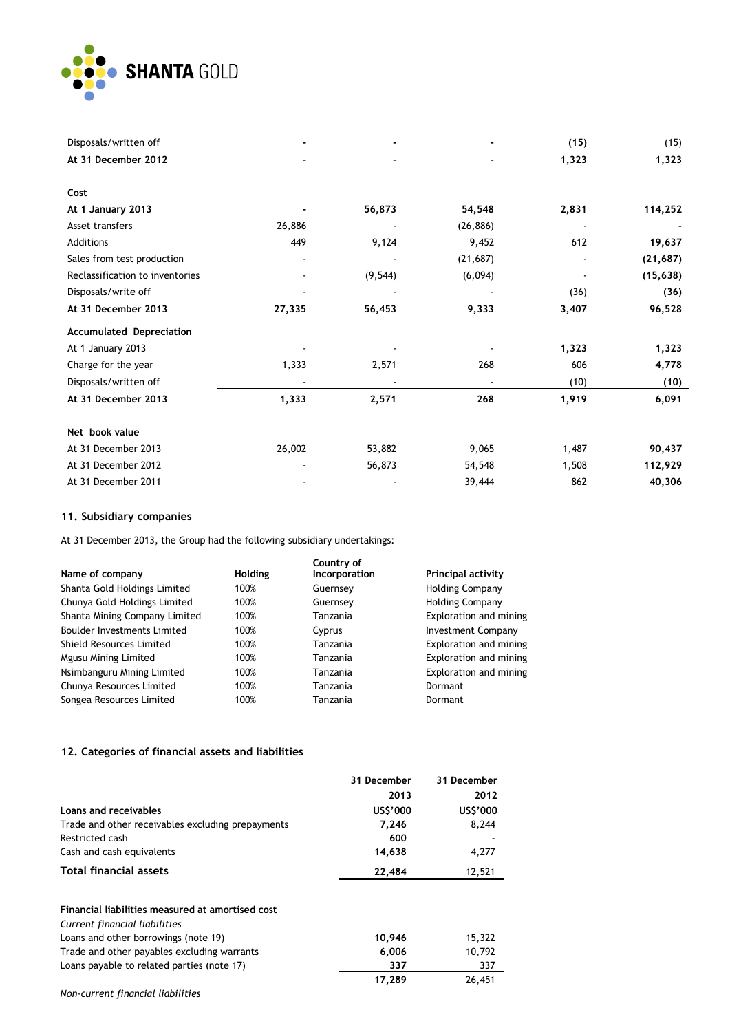

| Disposals/written off           |        |          |           | (15)  | (15)      |
|---------------------------------|--------|----------|-----------|-------|-----------|
| At 31 December 2012             |        |          |           | 1,323 | 1,323     |
|                                 |        |          |           |       |           |
| Cost                            |        |          |           |       |           |
| At 1 January 2013               |        | 56,873   | 54,548    | 2,831 | 114,252   |
| Asset transfers                 | 26,886 |          | (26, 886) |       |           |
| Additions                       | 449    | 9,124    | 9,452     | 612   | 19,637    |
| Sales from test production      |        |          | (21, 687) |       | (21, 687) |
| Reclassification to inventories |        | (9, 544) | (6,094)   |       | (15, 638) |
| Disposals/write off             |        |          |           | (36)  | (36)      |
| At 31 December 2013             | 27,335 | 56,453   | 9,333     | 3,407 | 96,528    |
| <b>Accumulated Depreciation</b> |        |          |           |       |           |
| At 1 January 2013               |        |          |           | 1,323 | 1,323     |
| Charge for the year             | 1,333  | 2,571    | 268       | 606   | 4,778     |
| Disposals/written off           |        |          |           | (10)  | (10)      |
| At 31 December 2013             | 1,333  | 2,571    | 268       | 1,919 | 6,091     |
| Net book value                  |        |          |           |       |           |
| At 31 December 2013             | 26,002 | 53,882   | 9,065     | 1,487 | 90,437    |
| At 31 December 2012             |        | 56,873   | 54,548    | 1,508 | 112,929   |
| At 31 December 2011             |        |          | 39,444    | 862   | 40,306    |

## **11. Subsidiary companies**

At 31 December 2013, the Group had the following subsidiary undertakings:

|                                    |                | Country of    |                           |
|------------------------------------|----------------|---------------|---------------------------|
| Name of company                    | <b>Holding</b> | Incorporation | <b>Principal activity</b> |
| Shanta Gold Holdings Limited       | 100%           | Guernsey      | <b>Holding Company</b>    |
| Chunya Gold Holdings Limited       | 100%           | Guernsey      | <b>Holding Company</b>    |
| Shanta Mining Company Limited      | 100%           | Tanzania      | Exploration and mining    |
| <b>Boulder Investments Limited</b> | 100%           | Cyprus        | <b>Investment Company</b> |
| Shield Resources Limited           | 100%           | Tanzania      | Exploration and mining    |
| Mgusu Mining Limited               | 100%           | Tanzania      | Exploration and mining    |
| Nsimbanguru Mining Limited         | 100%           | Tanzania      | Exploration and mining    |
| Chunya Resources Limited           | 100%           | Tanzania      | Dormant                   |
| Songea Resources Limited           | 100%           | Tanzania      | Dormant                   |

## **12. Categories of financial assets and liabilities**

|                                                   | 31 December | 31 December |
|---------------------------------------------------|-------------|-------------|
|                                                   | 2013        | 2012        |
| Loans and receivables                             | US\$'000    | US\$'000    |
| Trade and other receivables excluding prepayments | 7,246       | 8,244       |
| Restricted cash                                   | 600         |             |
| Cash and cash equivalents                         | 14,638      | 4,277       |
| <b>Total financial assets</b>                     | 22,484      | 12,521      |
|                                                   |             |             |
| Financial liabilities measured at amortised cost  |             |             |
| Current financial liabilities                     |             |             |
| Loans and other borrowings (note 19)              | 10,946      | 15,322      |
| Trade and other payables excluding warrants       | 6,006       | 10,792      |
| Loans payable to related parties (note 17)        | 337         | 337         |
|                                                   | 17,289      | 26,451      |

*Non-current financial liabilities*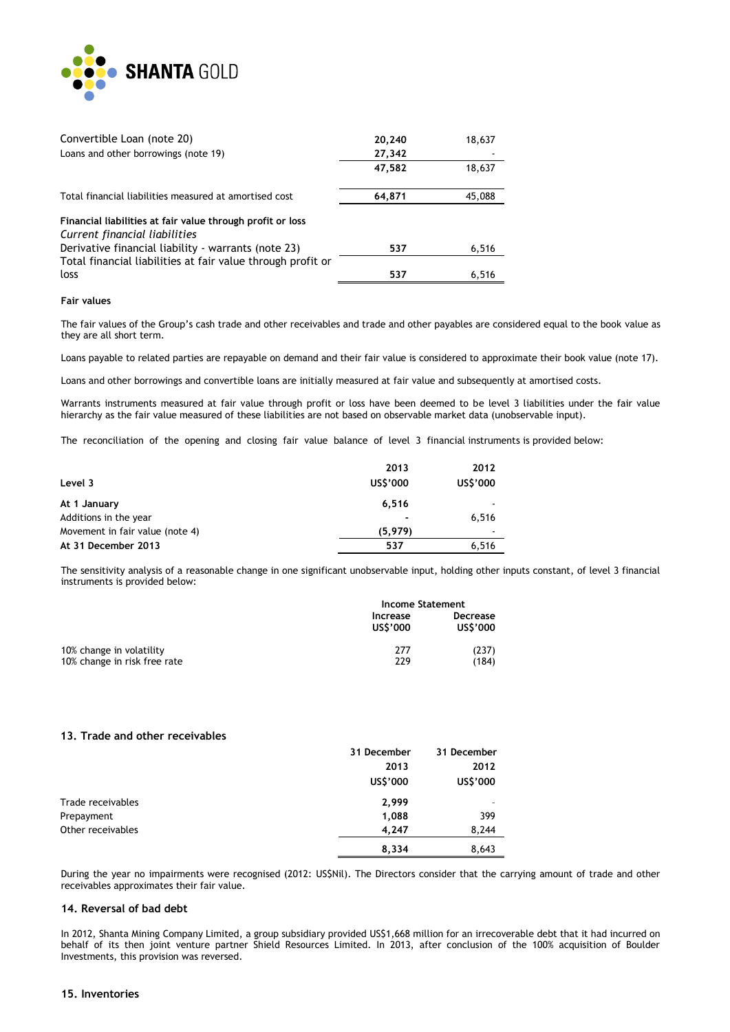

| Convertible Loan (note 20)                                  | 20,240 | 18,637 |
|-------------------------------------------------------------|--------|--------|
| Loans and other borrowings (note 19)                        | 27,342 |        |
|                                                             | 47,582 | 18,637 |
| Total financial liabilities measured at amortised cost      | 64.871 | 45,088 |
| Financial liabilities at fair value through profit or loss  |        |        |
| Current financial liabilities                               |        |        |
| Derivative financial liability - warrants (note 23)         | 537    | 6,516  |
| Total financial liabilities at fair value through profit or |        |        |
| loss                                                        | 537    | 6.516  |

#### **Fair values**

The fair values of the Group's cash trade and other receivables and trade and other payables are considered equal to the book value as they are all short term.

Loans payable to related parties are repayable on demand and their fair value is considered to approximate their book value (note 17).

Loans and other borrowings and convertible loans are initially measured at fair value and subsequently at amortised costs.

Warrants instruments measured at fair value through profit or loss have been deemed to be level 3 liabilities under the fair value hierarchy as the fair value measured of these liabilities are not based on observable market data (unobservable input).

The reconciliation of the opening and closing fair value balance of level 3 financial instruments is provided below:

|                                 | 2013           | 2012                     |
|---------------------------------|----------------|--------------------------|
| Level 3                         | US\$'000       | US\$'000                 |
| At 1 January                    | 6,516          | $\overline{\phantom{a}}$ |
| Additions in the year           | $\blacksquare$ | 6.516                    |
| Movement in fair value (note 4) | (5, 979)       | $\overline{a}$           |
| At 31 December 2013             | 537            | 6,516                    |

The sensitivity analysis of a reasonable change in one significant unobservable input, holding other inputs constant, of level 3 financial instruments is provided below:

|                                                          | Income Statement     |                      |
|----------------------------------------------------------|----------------------|----------------------|
|                                                          | Increase<br>US\$'000 | Decrease<br>US\$'000 |
| 10% change in volatility<br>10% change in risk free rate | 277<br>229           | (237)<br>(184)       |

#### **13. Trade and other receivables**

|                   | 31 December | 31 December |
|-------------------|-------------|-------------|
|                   | 2013        | 2012        |
|                   | US\$'000    | US\$'000    |
| Trade receivables | 2,999       |             |
| Prepayment        | 1,088       | 399         |
| Other receivables | 4,247       | 8,244       |
|                   | 8,334       | 8,643       |

During the year no impairments were recognised (2012: US\$Nil). The Directors consider that the carrying amount of trade and other receivables approximates their fair value.

#### **14. Reversal of bad debt**

In 2012, Shanta Mining Company Limited, a group subsidiary provided US\$1,668 million for an irrecoverable debt that it had incurred on behalf of its then joint venture partner Shield Resources Limited. In 2013, after conclusion of the 100% acquisition of Boulder Investments, this provision was reversed.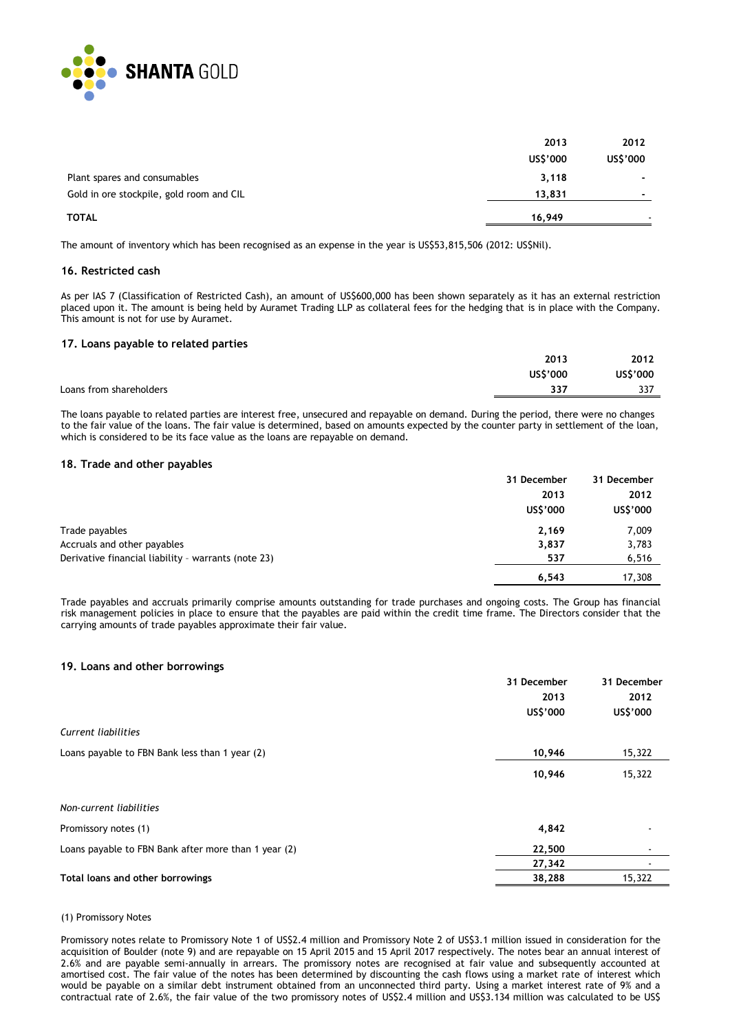

|                                          | 2013     | 2012                     |
|------------------------------------------|----------|--------------------------|
|                                          | US\$'000 | US\$'000                 |
| Plant spares and consumables             | 3,118    | ۰                        |
| Gold in ore stockpile, gold room and CIL | 13,831   | $\overline{\phantom{0}}$ |
| <b>TOTAL</b>                             | 16.949   |                          |

The amount of inventory which has been recognised as an expense in the year is US\$53,815,506 (2012: US\$Nil).

#### **16. Restricted cash**

As per IAS 7 (Classification of Restricted Cash), an amount of US\$600,000 has been shown separately as it has an external restriction placed upon it. The amount is being held by Auramet Trading LLP as collateral fees for the hedging that is in place with the Company. This amount is not for use by Auramet.

#### **17. Loans payable to related parties**

|                         | 2013     | 2012     |
|-------------------------|----------|----------|
|                         | US\$'000 | US\$'000 |
| Loans from shareholders | 337      | 337      |
|                         |          |          |

The loans payable to related parties are interest free, unsecured and repayable on demand. During the period, there were no changes to the fair value of the loans. The fair value is determined, based on amounts expected by the counter party in settlement of the loan, which is considered to be its face value as the loans are repayable on demand.

#### **18. Trade and other payables**

|                                                     | 31 December | 31 December |
|-----------------------------------------------------|-------------|-------------|
|                                                     | 2013        | 2012        |
|                                                     | US\$'000    | US\$'000    |
| Trade payables                                      | 2,169       | 7,009       |
| Accruals and other payables                         | 3,837       | 3,783       |
| Derivative financial liability - warrants (note 23) | 537         | 6,516       |
|                                                     | 6.543       | 17,308      |

Trade payables and accruals primarily comprise amounts outstanding for trade purchases and ongoing costs. The Group has financial risk management policies in place to ensure that the payables are paid within the credit time frame. The Directors consider that the carrying amounts of trade payables approximate their fair value.

#### **19. Loans and other borrowings**

|                                                      | 31 December | 31 December              |
|------------------------------------------------------|-------------|--------------------------|
|                                                      | 2013        | 2012                     |
|                                                      | US\$'000    | US\$'000                 |
| Current liabilities                                  |             |                          |
| Loans payable to FBN Bank less than 1 year (2)       | 10,946      | 15,322                   |
|                                                      | 10,946      | 15,322                   |
| Non-current liabilities                              |             |                          |
| Promissory notes (1)                                 | 4,842       |                          |
| Loans payable to FBN Bank after more than 1 year (2) | 22,500      | $\overline{\phantom{0}}$ |
|                                                      | 27,342      |                          |
| Total loans and other borrowings                     | 38,288      | 15,322                   |

#### (1) Promissory Notes

Promissory notes relate to Promissory Note 1 of US\$2.4 million and Promissory Note 2 of US\$3.1 million issued in consideration for the acquisition of Boulder (note 9) and are repayable on 15 April 2015 and 15 April 2017 respectively. The notes bear an annual interest of 2.6% and are payable semi-annually in arrears. The promissory notes are recognised at fair value and subsequently accounted at amortised cost. The fair value of the notes has been determined by discounting the cash flows using a market rate of interest which would be payable on a similar debt instrument obtained from an unconnected third party. Using a market interest rate of 9% and a contractual rate of 2.6%, the fair value of the two promissory notes of US\$2.4 million and US\$3.134 million was calculated to be US\$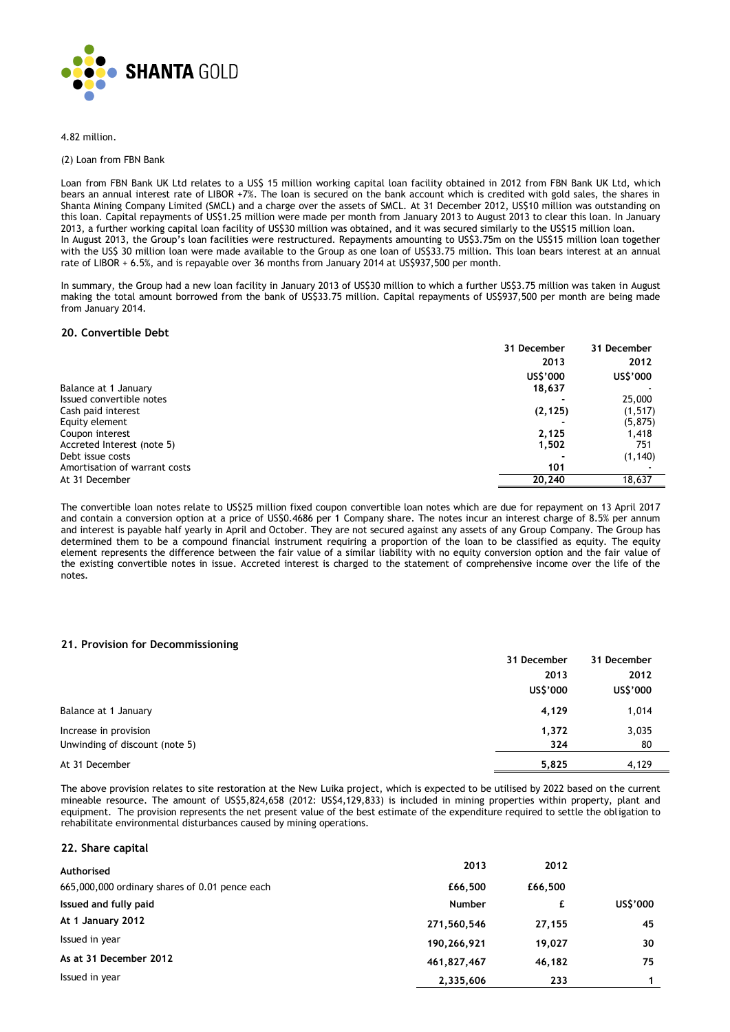

4.82 million.

#### (2) Loan from FBN Bank

Loan from FBN Bank UK Ltd relates to a US\$ 15 million working capital loan facility obtained in 2012 from FBN Bank UK Ltd, which bears an annual interest rate of LIBOR +7%. The loan is secured on the bank account which is credited with gold sales, the shares in Shanta Mining Company Limited (SMCL) and a charge over the assets of SMCL. At 31 December 2012, US\$10 million was outstanding on this loan. Capital repayments of US\$1.25 million were made per month from January 2013 to August 2013 to clear this loan. In January 2013, a further working capital loan facility of US\$30 million was obtained, and it was secured similarly to the US\$15 million loan. In August 2013, the Group's loan facilities were restructured. Repayments amounting to US\$3.75m on the US\$15 million loan together with the US\$ 30 million loan were made available to the Group as one loan of US\$33.75 million. This loan bears interest at an annual rate of LIBOR + 6.5%, and is repayable over 36 months from January 2014 at US\$937,500 per month.

In summary, the Group had a new loan facility in January 2013 of US\$30 million to which a further US\$3.75 million was taken in August making the total amount borrowed from the bank of US\$33.75 million. Capital repayments of US\$937,500 per month are being made from January 2014.

#### **20. Convertible Debt**

|                               | 31 December | 31 December |
|-------------------------------|-------------|-------------|
|                               | 2013        | 2012        |
|                               | US\$'000    | US\$'000    |
| Balance at 1 January          | 18,637      |             |
| Issued convertible notes      |             | 25,000      |
| Cash paid interest            | (2, 125)    | (1, 517)    |
| Equity element                |             | (5, 875)    |
| Coupon interest               | 2,125       | 1,418       |
| Accreted Interest (note 5)    | 1,502       | 751         |
| Debt issue costs              |             | (1, 140)    |
| Amortisation of warrant costs | 101         |             |
| At 31 December                | 20,240      | 18,637      |

The convertible loan notes relate to US\$25 million fixed coupon convertible loan notes which are due for repayment on 13 April 2017 and contain a conversion option at a price of US\$0.4686 per 1 Company share. The notes incur an interest charge of 8.5% per annum and interest is payable half yearly in April and October. They are not secured against any assets of any Group Company. The Group has determined them to be a compound financial instrument requiring a proportion of the loan to be classified as equity. The equity element represents the difference between the fair value of a similar liability with no equity conversion option and the fair value of the existing convertible notes in issue. Accreted interest is charged to the statement of comprehensive income over the life of the notes.

#### **21. Provision for Decommissioning**

|                                | 31 December | 31 December |
|--------------------------------|-------------|-------------|
|                                | 2013        | 2012        |
|                                | US\$'000    | US\$'000    |
| Balance at 1 January           | 4,129       | 1,014       |
| Increase in provision          | 1,372       | 3,035       |
| Unwinding of discount (note 5) | 324         | 80          |
| At 31 December                 | 5,825       | 4,129       |

The above provision relates to site restoration at the New Luika project, which is expected to be utilised by 2022 based on the current mineable resource. The amount of US\$5,824,658 (2012: US\$4,129,833) is included in mining properties within property, plant and equipment. The provision represents the net present value of the best estimate of the expenditure required to settle the obligation to rehabilitate environmental disturbances caused by mining operations.

#### **22. Share capital**

| Authorised                                     | 2013          | 2012    |          |
|------------------------------------------------|---------------|---------|----------|
| 665,000,000 ordinary shares of 0.01 pence each | £66,500       | £66,500 |          |
| Issued and fully paid                          | <b>Number</b> |         | US\$'000 |
| At 1 January 2012                              | 271,560,546   | 27,155  | 45       |
| Issued in year                                 | 190,266,921   | 19,027  | 30       |
| As at 31 December 2012                         | 461,827,467   | 46.182  | 75       |
| Issued in year                                 | 2,335,606     | 233     |          |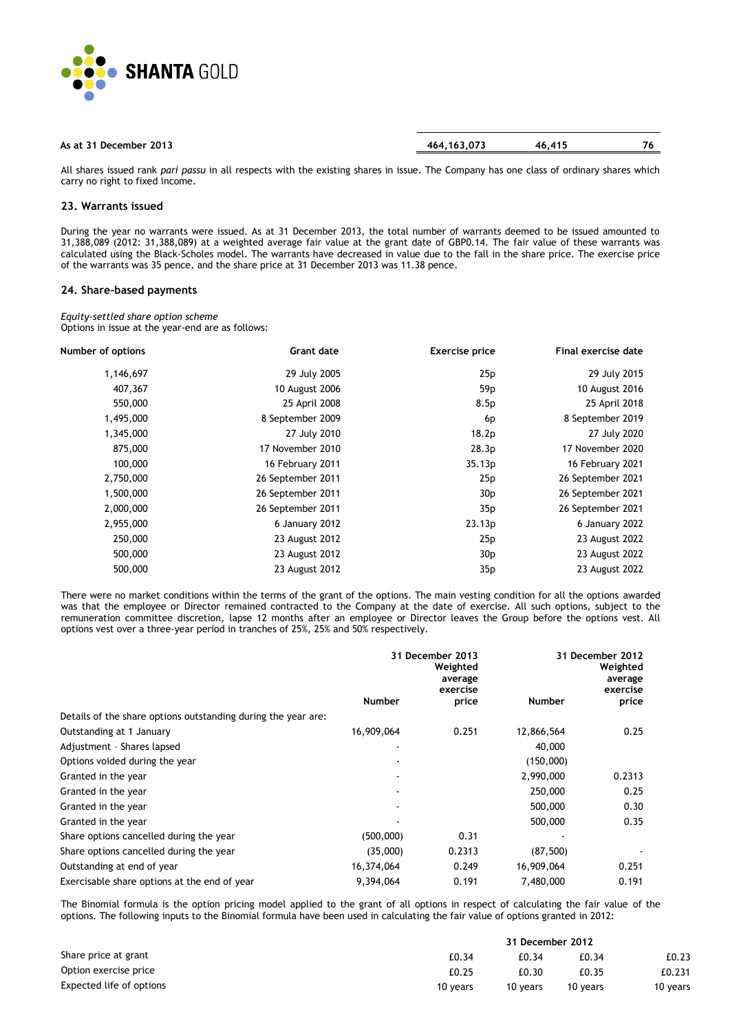

| As at 31 December 2013 | 464.163.073 | 46.415 | 70. |
|------------------------|-------------|--------|-----|
|                        |             |        |     |

All shares issued rank *pari passu* in all respects with the existing shares in issue. The Company has one class of ordinary shares which carry no right to fixed income.

## **23. Warrants issued**

During the year no warrants were issued. As at 31 December 2013, the total number of warrants deemed to be issued amounted to 31,388,089 (2012: 31,388,089) at a weighted average fair value at the grant date of GBP0.14. The fair value of these warrants was calculated using the Black-Scholes model. The warrants have decreased in value due to the fall in the share price. The exercise price of the warrants was 35 pence, and the share price at 31 December 2013 was 11.38 pence.

#### **24. Share-based payments**

*Equity-settled share option scheme* Options in issue at the year-end are as follows:

| Final exercise date | <b>Exercise price</b> | <b>Grant date</b> | Number of options |
|---------------------|-----------------------|-------------------|-------------------|
| 29 July 2015        | 25p                   | 29 July 2005      | 1,146,697         |
| 10 August 2016      | 59 <sub>p</sub>       | 10 August 2006    | 407,367           |
| 25 April 2018       | 8.5p                  | 25 April 2008     | 550,000           |
| 8 September 2019    | 6p                    | 8 September 2009  | 1,495,000         |
| 27 July 2020        | 18.2p                 | 27 July 2010      | 1,345,000         |
| 17 November 2020    | 28.3p                 | 17 November 2010  | 875,000           |
| 16 February 2021    | 35.13p                | 16 February 2011  | 100,000           |
| 26 September 2021   | 25p                   | 26 September 2011 | 2,750,000         |
| 26 September 2021   | 30 <sub>p</sub>       | 26 September 2011 | 1,500,000         |
| 26 September 2021   | 35p                   | 26 September 2011 | 2,000,000         |
| 6 January 2022      | 23.13p                | 6 January 2012    | 2,955,000         |
| 23 August 2022      | 25p                   | 23 August 2012    | 250,000           |
| 23 August 2022      | 30 <sub>p</sub>       | 23 August 2012    | 500,000           |
| 23 August 2022      | 35p                   | 23 August 2012    | 500,000           |

There were no market conditions within the terms of the grant of the options. The main vesting condition for all the options awarded was that the employee or Director remained contracted to the Company at the date of exercise. All such options, subject to the remuneration committee discretion, lapse 12 months after an employee or Director leaves the Group before the options vest. All options vest over a three-year period in tranches of 25%, 25% and 50% respectively.

|                                                               | 31 December 2013<br>Weighted<br>average<br>exercise |        |            | 31 December 2012<br>Weighted<br>average<br>exercise |
|---------------------------------------------------------------|-----------------------------------------------------|--------|------------|-----------------------------------------------------|
|                                                               | <b>Number</b>                                       | price  | Number     | price                                               |
| Details of the share options outstanding during the year are: |                                                     |        |            |                                                     |
| Outstanding at 1 January                                      | 16,909,064                                          | 0.251  | 12,866,564 | 0.25                                                |
| Adjustment - Shares lapsed                                    |                                                     |        | 40,000     |                                                     |
| Options voided during the year                                |                                                     |        | (150,000)  |                                                     |
| Granted in the year                                           |                                                     |        | 2,990,000  | 0.2313                                              |
| Granted in the year                                           |                                                     |        | 250,000    | 0.25                                                |
| Granted in the year                                           |                                                     |        | 500,000    | 0.30                                                |
| Granted in the year                                           |                                                     |        | 500,000    | 0.35                                                |
| Share options cancelled during the year                       | (500,000)                                           | 0.31   |            |                                                     |
| Share options cancelled during the year                       | (35,000)                                            | 0.2313 | (87, 500)  |                                                     |
| Outstanding at end of year                                    | 16,374,064                                          | 0.249  | 16,909,064 | 0.251                                               |
| Exercisable share options at the end of year                  | 9,394,064                                           | 0.191  | 7,480,000  | 0.191                                               |

The Binomial formula is the option pricing model applied to the grant of all options in respect of calculating the fair value of the options. The following inputs to the Binomial formula have been used in calculating the fair value of options granted in 2012:

|                          |          | 31 December 2012 |          |          |
|--------------------------|----------|------------------|----------|----------|
| Share price at grant     | £0.34    | £0.34            | £0.34    | £0.23    |
| Option exercise price    | £0.25    | £0.30            | £0.35    | £0.231   |
| Expected life of options | 10 years | 10 years         | 10 years | 10 years |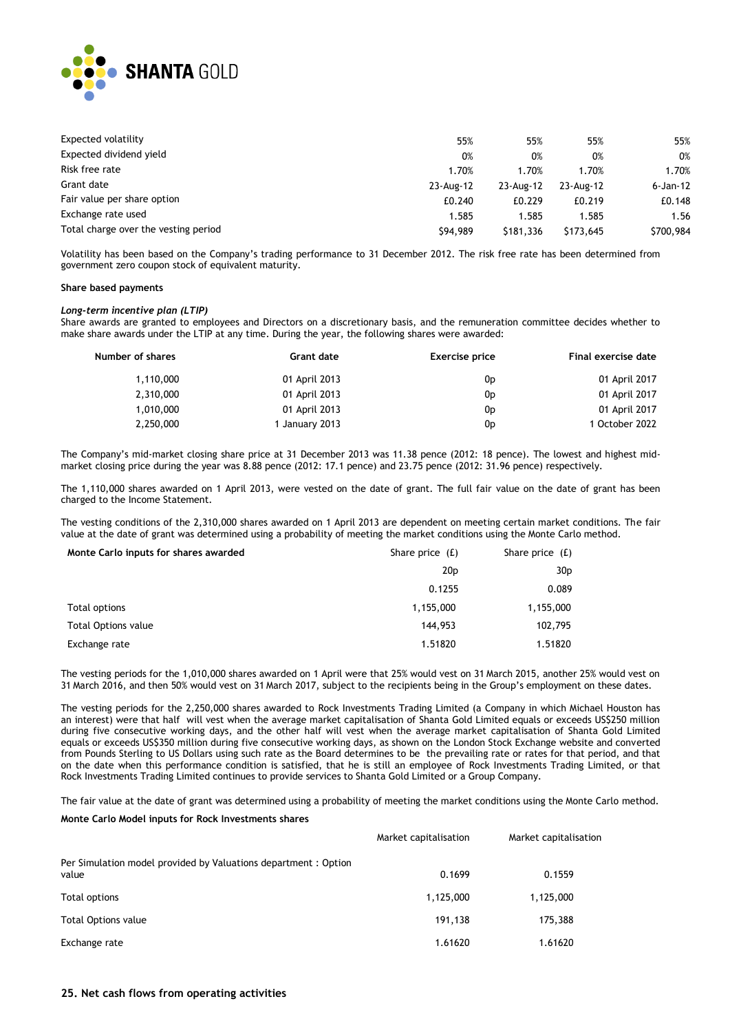

| Expected volatility                  | 55%       | 55%       | 55%       | 55%          |
|--------------------------------------|-----------|-----------|-----------|--------------|
| Expected dividend yield              | 0%        | 0%        | 0%        | 0%           |
| Risk free rate                       | 1.70%     | 1.70%     | 1.70%     | 1.70%        |
| Grant date                           | 23-Aug-12 | 23-Aug-12 | 23-Aug-12 | $6 - Jan-12$ |
| Fair value per share option          | £0.240    | £0.229    | £0.219    | £0.148       |
| Exchange rate used                   | 1.585     | 1.585     | 1.585     | 1.56         |
| Total charge over the vesting period | \$94,989  | \$181.336 | \$173,645 | \$700,984    |

Volatility has been based on the Company's trading performance to 31 December 2012. The risk free rate has been determined from government zero coupon stock of equivalent maturity.

#### **Share based payments**

#### *Long-term incentive plan (LTIP)*

Share awards are granted to employees and Directors on a discretionary basis, and the remuneration committee decides whether to make share awards under the LTIP at any time. During the year, the following shares were awarded:

| Number of shares | Grant date     | <b>Exercise price</b> | Final exercise date |
|------------------|----------------|-----------------------|---------------------|
| 1,110,000        | 01 April 2013  | 0 <sub>D</sub>        | 01 April 2017       |
| 2,310,000        | 01 April 2013  | 0 <sub>D</sub>        | 01 April 2017       |
| 1,010,000        | 01 April 2013  | 0 <sub>p</sub>        | 01 April 2017       |
| 2,250,000        | 1 January 2013 | 0 <sub>D</sub>        | 1 October 2022      |

The Company's mid-market closing share price at 31 December 2013 was 11.38 pence (2012: 18 pence). The lowest and highest midmarket closing price during the year was 8.88 pence (2012: 17.1 pence) and 23.75 pence (2012: 31.96 pence) respectively.

The 1,110,000 shares awarded on 1 April 2013, were vested on the date of grant. The full fair value on the date of grant has been charged to the Income Statement.

The vesting conditions of the 2,310,000 shares awarded on 1 April 2013 are dependent on meeting certain market conditions. The fair value at the date of grant was determined using a probability of meeting the market conditions using the Monte Carlo method.

| Monte Carlo inputs for shares awarded | Share price $(f)$ | Share price $(f)$ |
|---------------------------------------|-------------------|-------------------|
|                                       | 20 <sub>p</sub>   | 30 <sub>p</sub>   |
|                                       | 0.1255            | 0.089             |
| Total options                         | 1,155,000         | 1,155,000         |
| <b>Total Options value</b>            | 144,953           | 102,795           |
| Exchange rate                         | 1.51820           | 1.51820           |

The vesting periods for the 1,010,000 shares awarded on 1 April were that 25% would vest on 31 March 2015, another 25% would vest on 31 March 2016, and then 50% would vest on 31 March 2017, subject to the recipients being in the Group's employment on these dates.

The vesting periods for the 2,250,000 shares awarded to Rock Investments Trading Limited (a Company in which Michael Houston has an interest) were that half will vest when the average market capitalisation of Shanta Gold Limited equals or exceeds US\$250 million during five consecutive working days, and the other half will vest when the average market capitalisation of Shanta Gold Limited equals or exceeds US\$350 million during five consecutive working days, as shown on the London Stock Exchange website and converted from Pounds Sterling to US Dollars using such rate as the Board determines to be the prevailing rate or rates for that period, and that on the date when this performance condition is satisfied, that he is still an employee of Rock Investments Trading Limited, or that Rock Investments Trading Limited continues to provide services to Shanta Gold Limited or a Group Company.

The fair value at the date of grant was determined using a probability of meeting the market conditions using the Monte Carlo method.

#### **Monte Carlo Model inputs for Rock Investments shares**

|                                                                         | Market capitalisation | Market capitalisation |
|-------------------------------------------------------------------------|-----------------------|-----------------------|
| Per Simulation model provided by Valuations department: Option<br>value | 0.1699                | 0.1559                |
| Total options                                                           | 1,125,000             | 1,125,000             |
| <b>Total Options value</b>                                              | 191.138               | 175,388               |
| Exchange rate                                                           | 1.61620               | 1.61620               |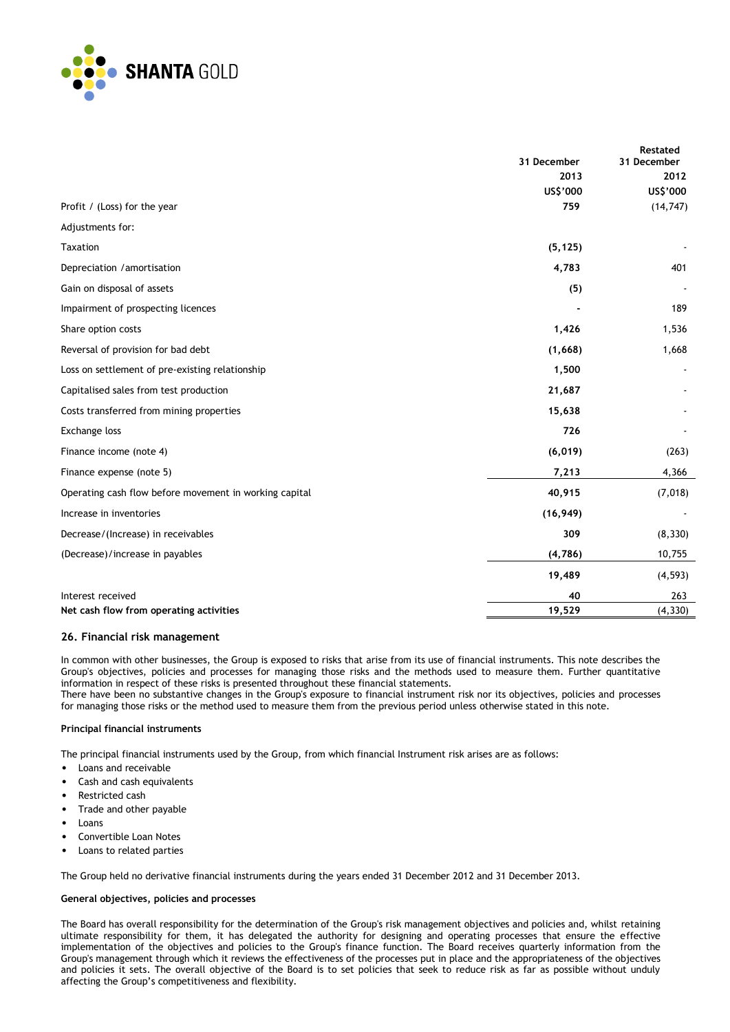

|                                                        | 31 December | <b>Restated</b><br>31 December |
|--------------------------------------------------------|-------------|--------------------------------|
|                                                        | 2013        | 2012                           |
|                                                        | US\$'000    | US\$'000                       |
| Profit / (Loss) for the year                           | 759         | (14, 747)                      |
| Adjustments for:                                       |             |                                |
| Taxation                                               | (5, 125)    |                                |
| Depreciation / amortisation                            | 4,783       | 401                            |
| Gain on disposal of assets                             | (5)         |                                |
| Impairment of prospecting licences                     |             | 189                            |
| Share option costs                                     | 1,426       | 1,536                          |
| Reversal of provision for bad debt                     | (1,668)     | 1,668                          |
| Loss on settlement of pre-existing relationship        | 1,500       |                                |
| Capitalised sales from test production                 | 21,687      |                                |
| Costs transferred from mining properties               | 15,638      |                                |
| Exchange loss                                          | 726         |                                |
| Finance income (note 4)                                | (6, 019)    | (263)                          |
| Finance expense (note 5)                               | 7,213       | 4,366                          |
| Operating cash flow before movement in working capital | 40,915      | (7,018)                        |
| Increase in inventories                                | (16, 949)   |                                |
| Decrease/(Increase) in receivables                     | 309         | (8, 330)                       |
| (Decrease)/increase in payables                        | (4,786)     | 10,755                         |
|                                                        | 19,489      | (4, 593)                       |
| Interest received                                      | 40          | 263                            |
| Net cash flow from operating activities                | 19,529      | (4, 330)                       |

### **26. Financial risk management**

In common with other businesses, the Group is exposed to risks that arise from its use of financial instruments. This note describes the Group's objectives, policies and processes for managing those risks and the methods used to measure them. Further quantitative information in respect of these risks is presented throughout these financial statements.

There have been no substantive changes in the Group's exposure to financial instrument risk nor its objectives, policies and processes for managing those risks or the method used to measure them from the previous period unless otherwise stated in this note.

### **Principal financial instruments**

The principal financial instruments used by the Group, from which financial Instrument risk arises are as follows:

- Loans and receivable
- Cash and cash equivalents
- Restricted cash
- Trade and other payable
- Loans
- Convertible Loan Notes
- Loans to related parties

The Group held no derivative financial instruments during the years ended 31 December 2012 and 31 December 2013.

#### **General objectives, policies and processes**

The Board has overall responsibility for the determination of the Group's risk management objectives and policies and, whilst retaining ultimate responsibility for them, it has delegated the authority for designing and operating processes that ensure the effective implementation of the objectives and policies to the Group's finance function. The Board receives quarterly information from the Group's management through which it reviews the effectiveness of the processes put in place and the appropriateness of the objectives and policies it sets. The overall objective of the Board is to set policies that seek to reduce risk as far as possible without unduly affecting the Group's competitiveness and flexibility.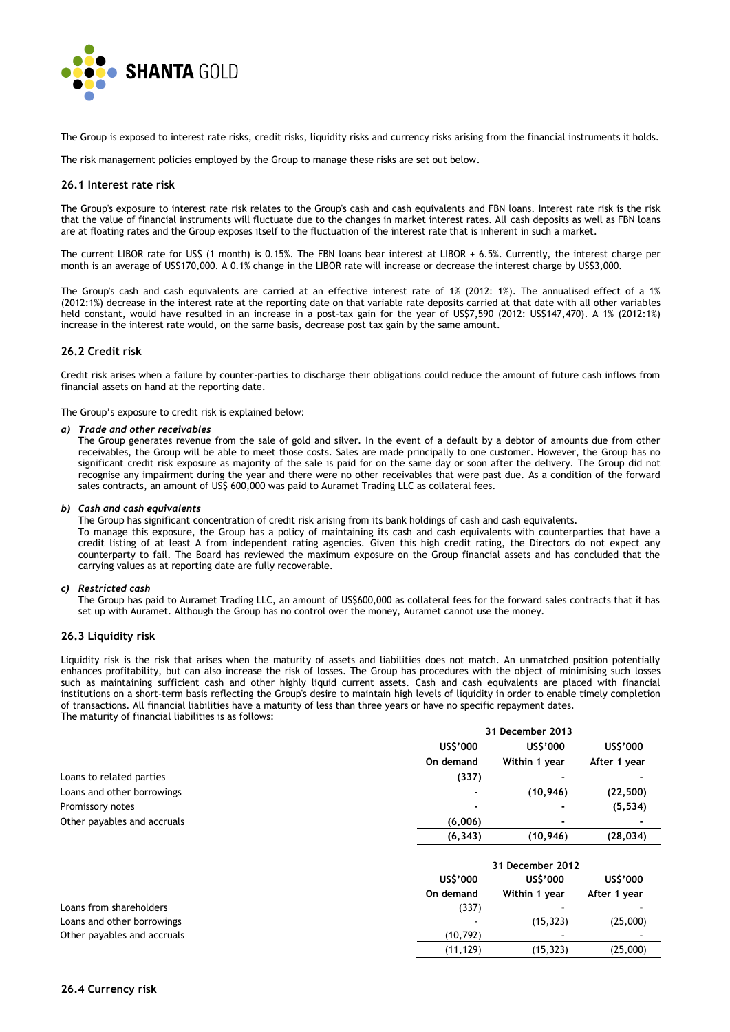

The Group is exposed to interest rate risks, credit risks, liquidity risks and currency risks arising from the financial instruments it holds.

The risk management policies employed by the Group to manage these risks are set out below.

#### **26.1 Interest rate risk**

The Group's exposure to interest rate risk relates to the Group's cash and cash equivalents and FBN loans. Interest rate risk is the risk that the value of financial instruments will fluctuate due to the changes in market interest rates. All cash deposits as well as FBN loans are at floating rates and the Group exposes itself to the fluctuation of the interest rate that is inherent in such a market.

The current LIBOR rate for US\$ (1 month) is 0.15%. The FBN loans bear interest at LIBOR + 6.5%. Currently, the interest charge per month is an average of US\$170,000. A 0.1% change in the LIBOR rate will increase or decrease the interest charge by US\$3,000.

The Group's cash and cash equivalents are carried at an effective interest rate of 1% (2012: 1%). The annualised effect of a 1% (2012:1%) decrease in the interest rate at the reporting date on that variable rate deposits carried at that date with all other variables held constant, would have resulted in an increase in a post-tax gain for the year of US\$7,590 (2012: US\$147,470). A 1% (2012:1%) increase in the interest rate would, on the same basis, decrease post tax gain by the same amount.

#### **26.2 Credit risk**

Credit risk arises when a failure by counter-parties to discharge their obligations could reduce the amount of future cash inflows from financial assets on hand at the reporting date.

The Group's exposure to credit risk is explained below:

#### *a) Trade and other receivables*

The Group generates revenue from the sale of gold and silver. In the event of a default by a debtor of amounts due from other receivables, the Group will be able to meet those costs. Sales are made principally to one customer. However, the Group has no significant credit risk exposure as majority of the sale is paid for on the same day or soon after the delivery. The Group did not recognise any impairment during the year and there were no other receivables that were past due. As a condition of the forward sales contracts, an amount of US\$ 600,000 was paid to Auramet Trading LLC as collateral fees.

#### *b) Cash and cash equivalents*

The Group has significant concentration of credit risk arising from its bank holdings of cash and cash equivalents. To manage this exposure, the Group has a policy of maintaining its cash and cash equivalents with counterparties that have a credit listing of at least A from independent rating agencies. Given this high credit rating, the Directors do not expect any counterparty to fail. The Board has reviewed the maximum exposure on the Group financial assets and has concluded that the carrying values as at reporting date are fully recoverable.

#### *c) Restricted cash*

The Group has paid to Auramet Trading LLC, an amount of US\$600,000 as collateral fees for the forward sales contracts that it has set up with Auramet. Although the Group has no control over the money, Auramet cannot use the money.

#### **26.3 Liquidity risk**

Liquidity risk is the risk that arises when the maturity of assets and liabilities does not match. An unmatched position potentially enhances profitability, but can also increase the risk of losses. The Group has procedures with the object of minimising such losses such as maintaining sufficient cash and other highly liquid current assets. Cash and cash equivalents are placed with financial institutions on a short-term basis reflecting the Group's desire to maintain high levels of liquidity in order to enable timely completion of transactions. All financial liabilities have a maturity of less than three years or have no specific repayment dates. The maturity of financial liabilities is as follows:

|                             |                  | 31 December 2013 |              |  |
|-----------------------------|------------------|------------------|--------------|--|
|                             | US\$'000         | US\$'000         | US\$'000     |  |
|                             | On demand        | Within 1 year    | After 1 year |  |
| Loans to related parties    | (337)            |                  |              |  |
| Loans and other borrowings  |                  | (10, 946)        | (22, 500)    |  |
| Promissory notes            |                  |                  | (5, 534)     |  |
| Other payables and accruals | (6,006)          |                  |              |  |
|                             | (6, 343)         | (10, 946)        | (28, 034)    |  |
|                             | 31 December 2012 |                  |              |  |
|                             | US\$'000         | US\$'000         | US\$'000     |  |
|                             | On demand        | Within 1 year    | After 1 year |  |
| Loans from shareholders     | (337)            |                  |              |  |
| Loans and other borrowings  |                  | (15, 323)        | (25,000)     |  |
| Other payables and accruals | (10, 792)        |                  |              |  |
|                             | (11, 129)        | (15, 323)        | (25,000)     |  |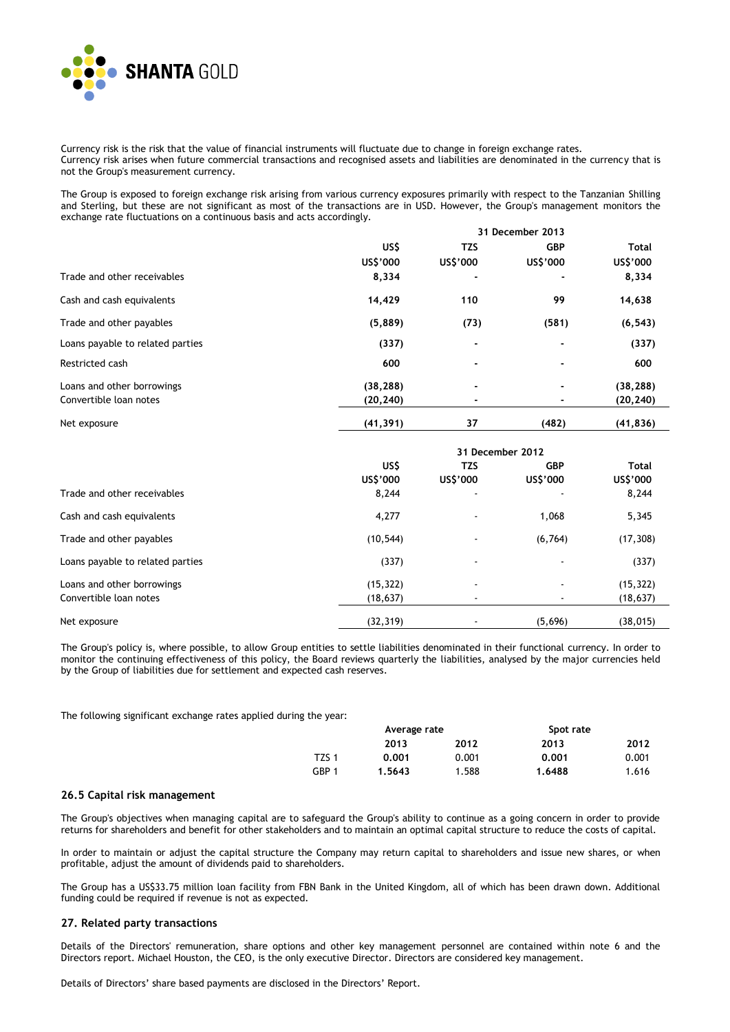

Currency risk is the risk that the value of financial instruments will fluctuate due to change in foreign exchange rates. Currency risk arises when future commercial transactions and recognised assets and liabilities are denominated in the currency that is not the Group's measurement currency.

The Group is exposed to foreign exchange risk arising from various currency exposures primarily with respect to the Tanzanian Shilling and Sterling, but these are not significant as most of the transactions are in USD. However, the Group's management monitors the exchange rate fluctuations on a continuous basis and acts accordingly.

|                                  |                  | 31 December 2013 |            |              |  |
|----------------------------------|------------------|------------------|------------|--------------|--|
|                                  | US\$             | <b>TZS</b>       | <b>GBP</b> | <b>Total</b> |  |
|                                  | US\$'000         | US\$'000         | US\$'000   | US\$'000     |  |
| Trade and other receivables      | 8,334            |                  |            | 8,334        |  |
| Cash and cash equivalents        | 14,429           | 110              | 99         | 14,638       |  |
| Trade and other payables         | (5,889)          | (73)             | (581)      | (6, 543)     |  |
| Loans payable to related parties | (337)            | $\blacksquare$   |            | (337)        |  |
| Restricted cash                  | 600              |                  |            | 600          |  |
| Loans and other borrowings       | (38, 288)        |                  |            | (38, 288)    |  |
| Convertible loan notes           | (20, 240)        |                  |            | (20, 240)    |  |
| Net exposure                     | (41, 391)        | 37               | (482)      | (41, 836)    |  |
|                                  | 31 December 2012 |                  |            |              |  |
|                                  | US\$             | <b>TZS</b>       | <b>GBP</b> | <b>Total</b> |  |
|                                  | US\$'000         | US\$'000         | US\$'000   | US\$'000     |  |
| Trade and other receivables      | 8,244            |                  |            | 8,244        |  |
| Cash and cash equivalents        | 4,277            |                  | 1,068      | 5,345        |  |
| Trade and other payables         | (10, 544)        |                  | (6, 764)   | (17, 308)    |  |
| Loans payable to related parties | (337)            |                  |            | (337)        |  |
| Loans and other borrowings       | (15, 322)        |                  |            | (15, 322)    |  |
| Convertible loan notes           | (18, 637)        |                  |            | (18, 637)    |  |
| Net exposure                     | (32, 319)        |                  | (5,696)    | (38, 015)    |  |

The Group's policy is, where possible, to allow Group entities to settle liabilities denominated in their functional currency. In order to monitor the continuing effectiveness of this policy, the Board reviews quarterly the liabilities, analysed by the major currencies held by the Group of liabilities due for settlement and expected cash reserves.

The following significant exchange rates applied during the year:

|       | Average rate |       | Spot rate |       |
|-------|--------------|-------|-----------|-------|
|       | 2013         | 2012  | 2013      | 2012  |
| TZS 1 | 0.001        | 0.001 | 0.001     | 0.001 |
| GBP 1 | 1.5643       | 1.588 | 1.6488    | 1.616 |

#### **26.5 Capital risk management**

The Group's objectives when managing capital are to safeguard the Group's ability to continue as a going concern in order to provide returns for shareholders and benefit for other stakeholders and to maintain an optimal capital structure to reduce the costs of capital.

In order to maintain or adjust the capital structure the Company may return capital to shareholders and issue new shares, or when profitable, adjust the amount of dividends paid to shareholders.

The Group has a US\$33.75 million loan facility from FBN Bank in the United Kingdom, all of which has been drawn down. Additional funding could be required if revenue is not as expected.

#### **27. Related party transactions**

Details of the Directors' remuneration, share options and other key management personnel are contained within note 6 and the Directors report. Michael Houston, the CEO, is the only executive Director. Directors are considered key management.

Details of Directors' share based payments are disclosed in the Directors' Report.